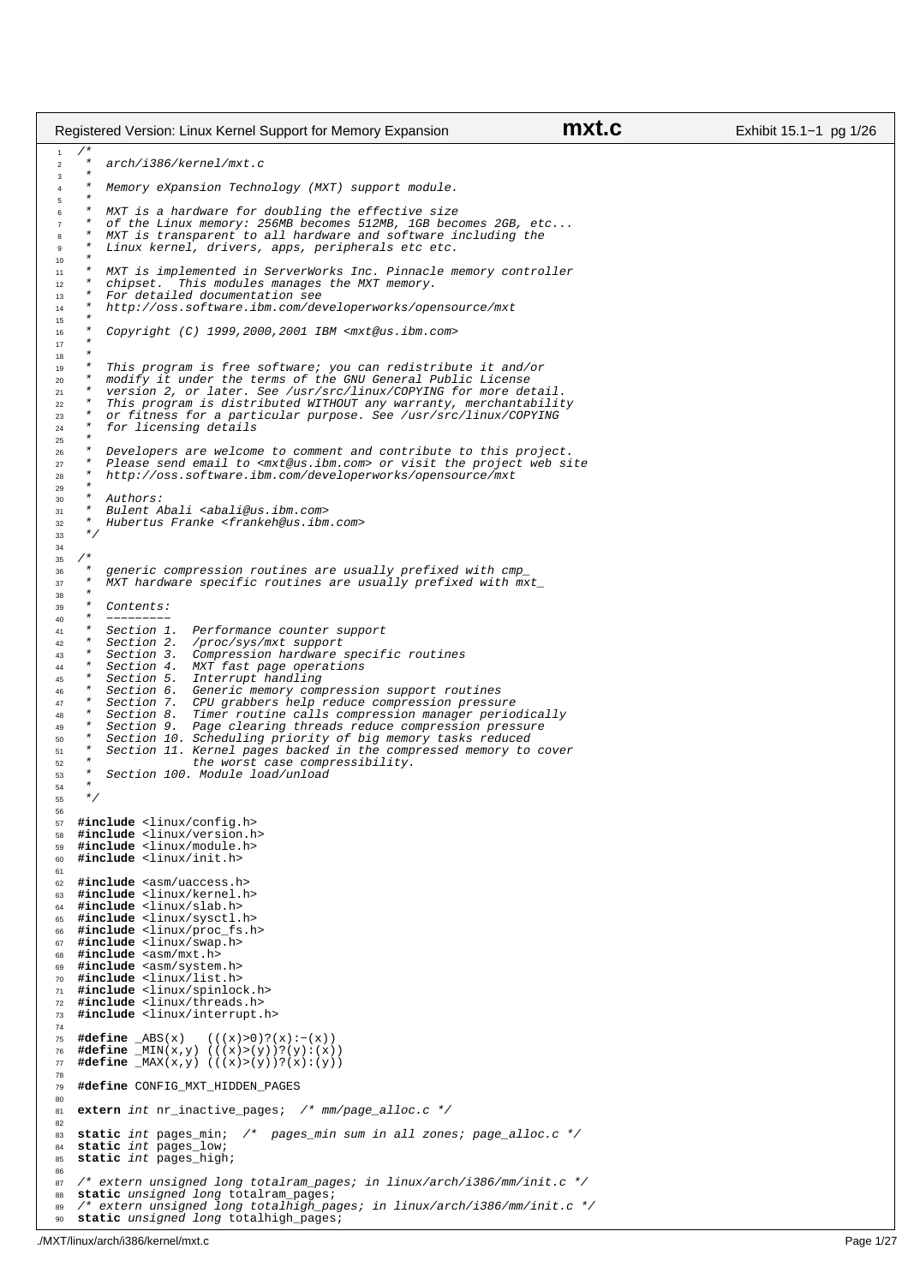$\bigwedge^*$  \* arch/i386/kernel/mxt.c  $\frac{3}{4}$ Memory eXpansion Technology (MXT) support module.  $\frac{5}{6}$ MXT is a hardware for doubling the effective size \* of the Linux memory: 256MB becomes 512MB, 1GB becomes 2GB, etc... <sup>8</sup> \* MXT is transparent to all hardware and software including the Linux kernel, drivers, apps, peripherals etc etc. <br> $11$  \* MXT is implemented in ServerWorks Inc. Pinnacle memory controller <sup>12</sup> \* chipset. This modules manages the MXT memory. 12 \* Chipset. This modules manages<br>13 \* For detailed documentation see<br>14 \* http://oss.software.ibm.com/de \* http://oss.software.ibm.com/developerworks/opensource/mxt \* \* Copyright (C) 1999,2000,2001 IBM <mxt@us.ibm.com> \* <br> $19$  \* This program is free software; you can redistribute it and/or \* modify it under the terms of the GNU General Public License <sup>21</sup> \* version 2, or later. See /usr/src/linux/COPYING for more detail. \* This program is distributed WITHOUT any warranty, merchantability <sup>23</sup> \* or fitness for a particular purpose. See /usr/src/linux/COPYING \* for licensing details \* \* Developers are welcome to comment and contribute to this project. <sup>27</sup> \* Please send email to <mxt@us.ibm.com> or visit the project web site \* http://oss.software.ibm.com/developerworks/opensource/mxt  $rac{29}{30}$  $\Delta$ uthors $\cdot$  \* Bulent Abali <abali@us.ibm.com> \* Hubertus Franke <frankeh@us.ibm.com> 33  $* /$   $35 / *$ <br>36 \* generic compression routines are usually prefixed with cmp \* MXT hardware specific routines are usually prefixed with  $mxt$ 38<br>39  $39 *$  Contents:<br>  $40 *$  -------- \* −−−−−−−−− 41 \* Section 1. Performance counter support<br>42 \* Section 2. /proc/sys/mxt support 42 \* Section 2. /proc/sys/mxt support<br>43 \* Section 3. Compression hardware<br>44 \* Section 4. MXT fast page operation \* Section 3. Compression hardware specific routines 44 \* Section 4. MXT fast page operations<br>45 \* Section 5. Interrupt handling Section 5. Interrupt handling<br>Section 6. Generic memory com \* Section 6. Generic memory compression support routines \* Section 7. CPU grabbers help reduce compression pressure \* Section 8. Timer routine calls compression manager periodically <sup>49</sup> \* Section 9. Page clearing threads reduce compression pressure \* Section 10. Scheduling priority of big memory tasks reduced <sup>51</sup> \* Section 11. Kernel pages backed in the compressed memory to cover <sup>52</sup> \* the worst case compressibility. \* Section 100. Module load/unload \* **#include** <linux/config.h> <sup>58</sup> **#include** <linux/version.h> **#include** <linux/module.h> **#include** <linux/init.h> **#include** <asm/uaccess.h> <sup>63</sup> **#include** <linux/kernel.h> **#include** <linux/slab.h> **#include** <linux/sysctl.h> 66 **#include** <linux/proc\_fs.h><br>67 **#include** <linux/swap.h> 67 **#include** <linux/swap.h><br>68 **#include** <asm/mxt.h> #include <asm/mxt.h> **#include** <asm/system.h> **#include** <linux/list.h> <sup>71</sup> **#include** <linux/spinlock.h> **#include** <linux/threads.h> **#include** <linux/interrupt.h> <sup>75</sup> **#define** \_ABS(x) (((x)>0)?(x):−(x)) **#define** \_MIN(x,y) (((x)>(y))?(y):(x)) **#define** \_MAX(x,y) (((x)>(y))?(x):(y)) **#define** CONFIG\_MXT\_HIDDEN\_PAGES **extern** int nr\_inactive\_pages; /\* mm/page\_alloc.c \*/ **static** int pages\_min; /\* pages\_min sum in all zones; page\_alloc.c \*/ 84 **static** int pages\_low;<br>85 **static** int pages high **static** int pages\_high; /\* extern unsigned long totalram\_pages; in linux/arch/i386/mm/init.c \*/<br>88 **static** unsigned long totalram\_pages; **static** unsigned long totalram\_pages; /\* extern unsigned long totalhigh\_pages; in linux/arch/i386/mm/init.c \*/ **static** unsigned long totalhigh\_pages; Registered Version: Linux Kernel Support for Memory Expansion **mxt.c** Exhibit 15.1−1 pg 1/26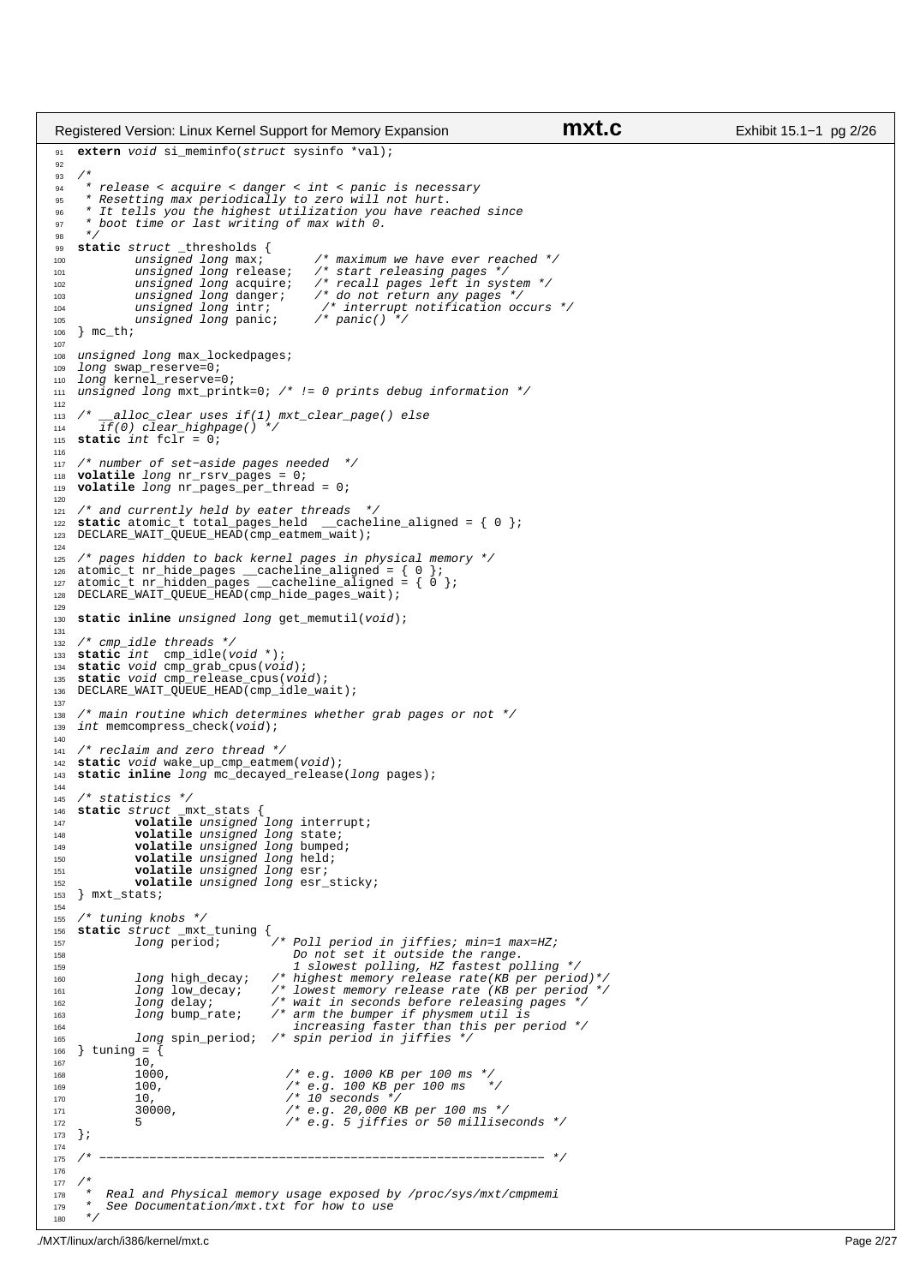```
91 extern void si_meminfo(struct sysinfo *val);
9293<br>94
      94 * release < acquire < danger < int < panic is necessary
 95 * Resetting max periodically to zero will not hurt. 
96 * It tells you the highest utilization you have reached since 
97 * boot time or last writing of max with 0.
\frac{98}{99} */
99 static struct _thresholds {<br>100 unsigned long max;
100 unsigned long max; \overrightarrow{ } /* maximum we have ever reached */<br>101 unsigned long release; /* start releasing pages */
101 unsigned long release; /* start releasing pages */
102 unsigned long acquire; /* recall pages left in system */
103 unsigned long danger; /* do not return any pages */
104 unsigned long intr; \frac{1}{105} /* interrupt notification occurs */<br>105 unsigned long panic; \frac{1}{105} /* panic() */
                 unsigned long panic;
106 } mc_th;
107
108 unsigned long max_lockedpages;<br>109 long swap reserve=0;
    long swap_reserve=0;
110 long kernel_reserve=0;<br>111 unsigned long mxt prin
   unsigned long mxt_printk=0; /* != 0 prints debug information */
112
113 /* _{114} alloc_clear uses if(1) mxt_clear_page() else<br>114 _{116} if(0) clear_highpage() */
        if(0) clear_highpage() */
115 static int fclr = 0; 
116
117 /* number of set−aside pages needed */
118 volatile long nr_rsrv_pages = 0;
119 volatile long nr_pages_per_thread = 0;
120121 /* and currently held by eater threads */
122 static atomic_t total_pages_held __cacheline_aligned = { 0 }; 
123 DECLARE_WAIT_QUEUE_HEAD(cmp_eatmem_wait);
124
125 /* pages hidden to back kernel pages in physical memory */<br>126 atomic_t nr_hide_pages __cacheline_aligned = { 0 };<br>127 atomic_t nr_hidden_pages __cacheline_aligned = { 0 };<br>128 DECLARE_WAIT_QUEUE_HEAD(cmp_hide_pages_wa
129
130 static inline unsigned long get_memutil(void);
131
132 /* cmp_idle threads */
133 static int cmp_idle(void *);
    static void cmp_grab_cpus(void);
135 static void cmp_release_cpus(void);
136 DECLARE_WAIT_QUEUE_HEAD(cmp_idle_wait);
137
138 /* main routine which determines whether grab pages or not */<br>139 int memcompress check(void);
    int memcompress_check(void);
140
141 /* reclaim and zero thread */
142 static void wake_up_cmp_eatmem(void);
    static inline long mc_decayed_release(long pages);
144
145 /* statistics */
146 static struct _mxt_stats {
147 volatile unsigned long interrupt;
148 volatile unsigned long state;<br>149 volatile unsigned long bumped
149 volatile unsigned long bumped;<br>150 volatile unsigned long held;
150 volatile unsigned long held;
151 volatile unsigned long esr;
152 volatile unsigned long esr_sticky;
153 } mxt_stats;
154
155 /* tuning knobs */
156 static struct _mxt_tuning {
158 Scales Scrass Long period; \frac{1}{2} /* Poll period in jiffies; min=1 max=HZ;<br>158 Do not set it outside the range.
158 158 Do not set it outside the range.<br>159 1 Slowest polling. HZ fastest po
159 1 slowest polling, HZ fastest polling */
160 long high_decay; /* highest memory release rate(KB per period)*/
161 long low_decay; /* lowest memory release rate (KB per period */
161 long low_decay; /* lowest memory release rate (KB per period<br>162 long delay; /* wait in seconds before releasing pages */<br>163 long bump_rate; /* arm the bumper if physmem util is
163 long bump_rate; /* arm the bumper if physmem util is 
164 increasing faster than this per period */
165 long spin_period; /* spin period in jiffies */
166 } tuning = \left\{ \right.\begin{bmatrix} 167 & 10 \\ 167 & 10 \\ 168 & 1000 \end{bmatrix}168 1000, /* e.g. 1000 KB per 100 ms */
169 100, /* e.g. 100 KB per 100 ms */
170 10, /* 10 seconds */
171 100000, 1000000, 1000000, 1000000, 1000000 1000000 1000000 1000000 1000000 1000000 10000000 10000000 10000000 10000000 10000000 10000000 10000000 10000000 10000000 10000000 1172 5 \frac{172}{173} 5 \frac{172}{173} 5 \frac{172}{173} 5 \frac{172}{173} 5 \frac{172}{173} 6.9. 5 jiffies or 50 milliseconds */
    173 };
174
175 /* −−−−−−−−−−−−−−−−−−−−−−−−−−−−−−−−−−−−−−−−−−−−−−−−−−−−−−−−−−−−−− */
176
177 \frac{1}{178} *
178 * Real and Physical memory usage exposed by /proc/sys/mxt/cmpmemi
           See Documentation/mxt.txt for how to use
180 + /Registered Version: Linux Kernel Support for Memory Expansion mxt.c Exhibit 15.1−1 pg 2/26
```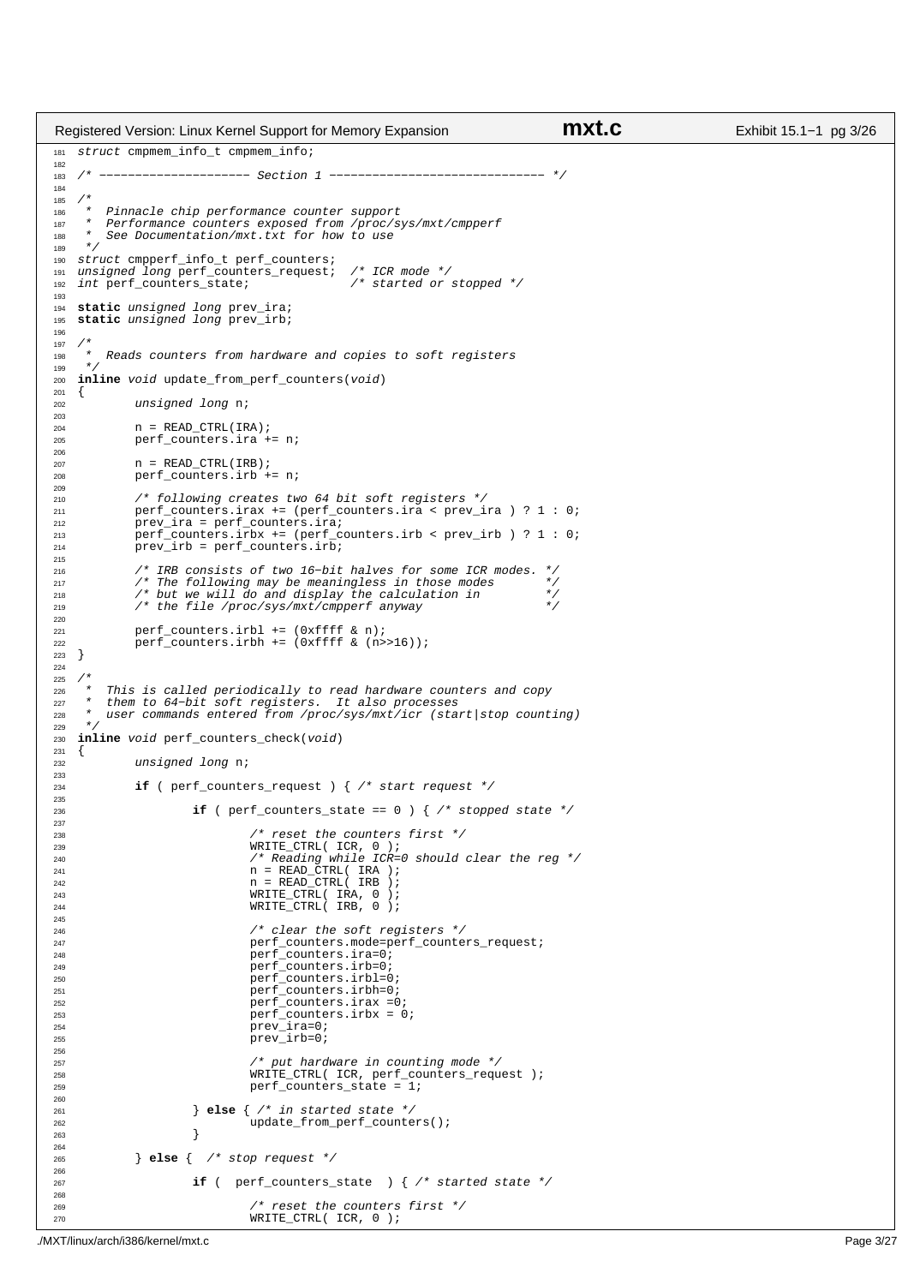```
181 struct cmpmem_info_t cmpmem_info;
182
183 /* −−−−−−−−−−−−−−−−−−−−− Section 1 −−−−−−−−−−−−−−−−−−−−−−−−−−−−−− */
184
185 /*<br>186 *
     * Pinnacle chip performance counter support
187 * Performance counters exposed from /proc/sys/mxt/cmpperf
188 * See Documentation/mxt.txt for how to use
\begin{array}{cc} 189 & * \end{array} 190 SLT190 struct cmpperf_info_t perf_counters;
191 unsigned long perf_counters_request; /* ICR mode */
192 int perf_counters_state; /* started or stopped */
193
194 static unsigned long prev_ira;
   static unsigned long prev_irb;
196
197
198 * Reads counters from hardware and copies to soft registers
199
200 inline void update_from_perf_counters(void)
201 {
202 unsigned long n;
203
204 n = READ_CTRL(IRA);<br>
205 perf counters.ira +
             perf_counters.ira += n;
206
207 n = READ CTRL(IRB);
208 perf_counters.irb += n;
209
210 /* following creates two 64 bit soft registers */
211 perf_counters.irax += (perf_counters.ira < prev_ira ) ? 1 : 0; 
212 prev_ira = perf_counters.ira;<br>213 perf_counters.irbx += (perf_c
213 perf_counters.irbx += (perf_counters.irb < prev_irb ) ? 1 : 0;<br>
214 prev_irb = perf_counters.irb;
             precirb = perf_counters.irb;
215
216 /* IRB consists of two 16−bit halves for some ICR modes. */
217 / The following may be meaningless in those modes */<br>218 /* The following may be meaningless in those modes */<br>218 /* but we will do and display the calculation in */
218 / and the will do and display the calculation in<br>219 /* but we will do and display the calculation in \frac{1}{2}/* the file /proc/sys/mxt/cmpperf anyway
220
221 perf_counters.irbl += (0xffff & n);
222 perf_counters.irbh += (0xffff & (n>>16));
223 }
224
225 /*
226 * This is called periodically to read hardware counters and copy
227 * them to 64−bit soft registers. It also processes
<sup>228</sup> * user commands entered from /proc/sys/mxt/icr (start|stop counting)
229<br>230
   inline void perf_counters_check(void)
231 {
<sup>232</sup> unsigned long n;
233
234 if ( perf_counters_request ) { /* start request */
235236 if ( perf\_counters\_state == 0 ) { /* stopped state */237
238 238 /* reset the counters first */<br>239 239 WRITE CTRL( ICR, 0 );
239 WRITE_CTRL( ICR, 0 );
240 /* Reading while ICR=0 should clear the reg */
241 n = READ_CTRL( IRA ); 
242 n = READ_CTRL( IRB );
243 WRITE_CTRL( IRA, 0 );
244 WRITE_CTRL( IRB, 0 );
245
<sup>246</sup> 246 (* clear the soft registers */<br>247 247 247 perf counters.mode=perf counters
247 perf_counters.mode=perf_counters_request;<br>248 perf counters.ira=0;
248 perf_counters.ira=0;<br>
perf_counters.ira=0;<br>
perf_counters.irb=0;
249 perf_counters.irb=0;<br>
perf_counters.irb=0;<br>
perf_counters.irb=0;
                                perf_counters.irbl=0;
251 perf_counters.irbh=0;<br>252 perf_counters.irax =0
<sup>252</sup> perf_counters.irax =0;<br><sup>253</sup> perf counters.irbx = 0;
253 perf_counters.irbx = 0;
254 prev_ira=0;
255 prev_irb=0;
256
257 /* put hardware in counting mode */
258 WRITE_CTRL( ICR, perf_counters_request );<br>
259 perf counters state = 1;
                                perf_counters_state = 1;
260261 } else { /* in started state */
262 update_from_perf_counters();<br>
263 1
263 }
264
265 } else { /* stop request */
266
267 if ( perf_counters_state ) { /* started state */
268
269 /* reset the counters first */
270 WRITE_CTRL( ICR, 0 );
Registered Version: Linux Kernel Support for Memory Expansion mxt.c Exhibit 15.1−1 pg 3/26
```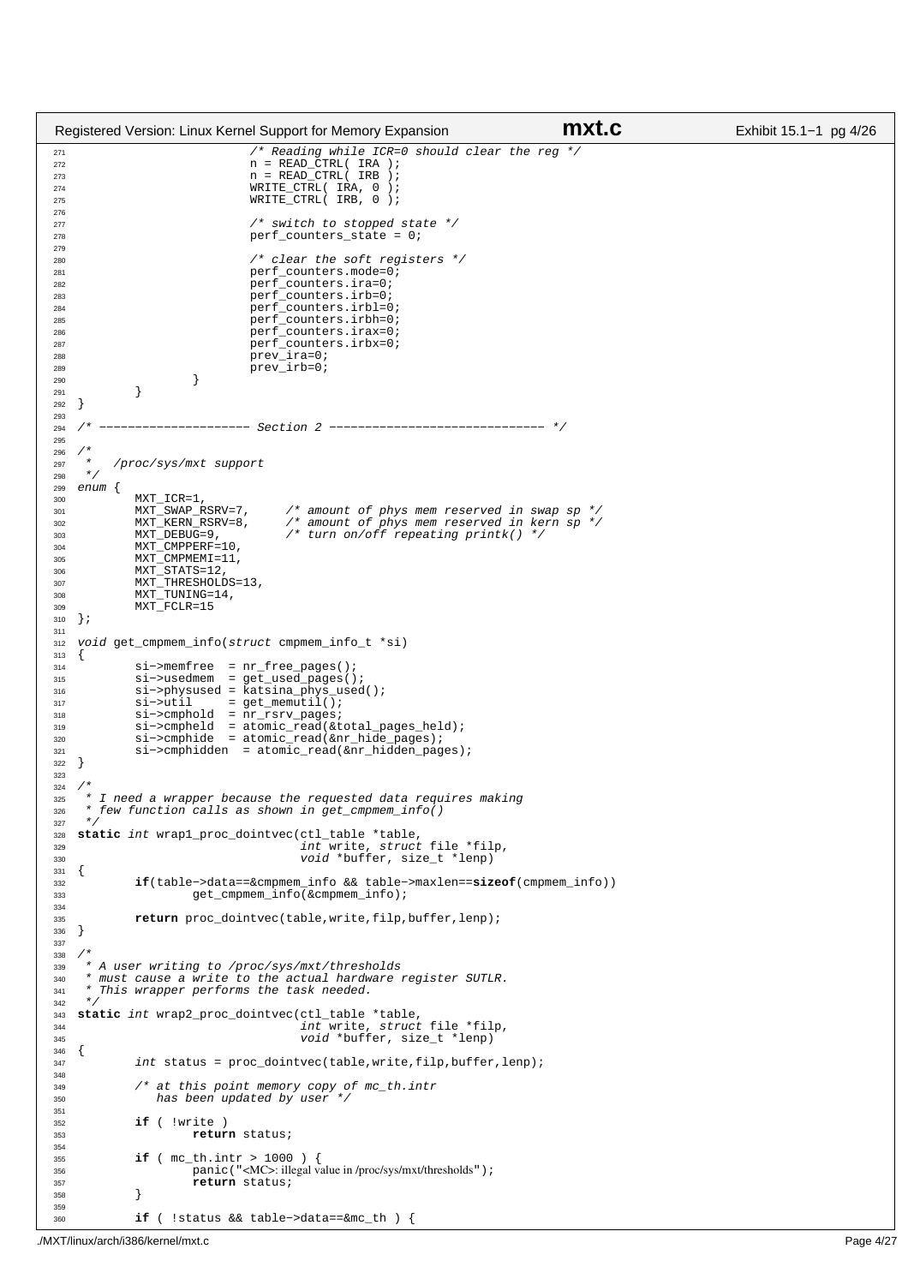```
271 /* Reading while ICR=0 should clear the reg */
272 n = READ_CTRL( IRA );
273 n = READ_CTRL( IRB );
<sup>274</sup> WRITE_CTRL( IRA, 0 );<br><sup>275</sup> WRITE_CTRL( IRB, 0 );
                                  WRITE_CTRL( IRB, 0 );
276
277 /* switch to stopped state */
278 perf_counters_state = 0; 
279
280 280 /* clear the soft registers */<br>281 281 281
                                  perf_counters.mode=0;
282 perf_counters.ira=0;
283 perf_counters.irb=0;
284 perf_counters.irbl=0;<br>
perf_counters.irbl=0;<br>
perf_counters_irbh=0;
                                  perf_counters.irbh=0;
286 perf_counters.irax=0;<br>287 perf counters.irbx=0;
287 perf_counters.irbx=0;<br>
288 prev ira=0;
288 prev_ira=0;<br>
289 prev_ira=0;<br>
prev_irb=0;
289 prev_irb=0;<br>290 }
290  }
291 }
292 }
293
294 /* --------------------- Section 2 -------------------------------- */
295
296 /*
          /proc/sys/mxt support
298 */
299 enum {
              MXT_ICR=1,<br>MXT_SWAP_RSRV=7,
301 MXT_SWAP_RSRV=7, /* amount of phys mem reserved in swap sp */
302 MXT_KERN_RSRV=8, /* amount of phys mem reserved in kern sp */
303 MXT_DEBUG=9, \frac{1}{2} /* turn on/off repeating printk() */
304 MXT_CMPPERF=10,<br>305 MXT_CMPMEMI=11.
305 MXT\_CMPMEMI=11,<br>306 MXT\_STATS=12.MXT STATS=12.
307 MXT_THRESHOLDS=13,
308 MXT_TUNING=14,
309 MXT_FCLR=15<br>310 } ;
   310 };
311
312 void get_cmpmem_info(struct cmpmem_info_t *si)
\begin{matrix} 313 \\ 314 \end{matrix}314 si−>memfree = nr_free_pages();<br>315 si−>usedmem = get used pages()
315 si−>usedmem = get_used_pages();
316 si−>physused = katsina_phys_used();
317 si−>util = get_memutil();<br>318 si−>cmphold = nr rsrv pages;
318 si−>cmphold = nr_rsrv_pages;
319 si−>cmpheld = atomic_read(&total_pages_held);
320 si−>cmphide = atomic_read(&nr_hide_pages);
321 si−>cmphidden = atomic_read(&nr_hidden_pages);
322 }
323
324325 * I need a wrapper because the requested data requires making 
326 * few function calls as shown in get_cmpmem_info()
327 */
328 static int wrap1_proc_dointvec(ctl_table *table, 
329 int write, struct file *filp, 
330 void *buffer, size_t *lenp)
331 {
332 if(table−>data==&cmpmem_info && table−>maxlen==sizeof(cmpmem_info))
                        get_cmpmem_info(&cmpmem_info);
334
335 return proc_dointvec(table,write,filp,buffer,lenp);
336 \quad \}337
338<br>339
339 * A user writing to /proc/sys/mxt/thresholds
340 * must cause a write to the actual hardware register SUTLR.
341 * This wrapper performs the task needed.
342 */
343 static int wrap2_proc_dointvec(ctl_table *table, 
344 int write, struct file *filp,
345 void *buffer, size_t *lenp)
346 {
int status = proc_dointvec(table, write, filp, buffer, lenp);
348
349 /* at this point memory copy of mc_th.intr 
350 has been updated by user */
351
352 if ( !write ) 
                        353 return status;
354
355 if ( mc_th.intr > 1000 ) {
<sup>356</sup> panic ("<MC>: illegal value in /proc/sys/mxt/thresholds");<br>356 panic ("<MC>: illegal value in /proc/sys/mxt/thresholds");
              <sup>Fallo</sup>, and the status;<br>}
358 }
359
360 if ( !status && table−>data==&mc_th ) {
Registered Version: Linux Kernel Support for Memory Expansion mxt.c Exhibit 15.1−1 pg 4/26
```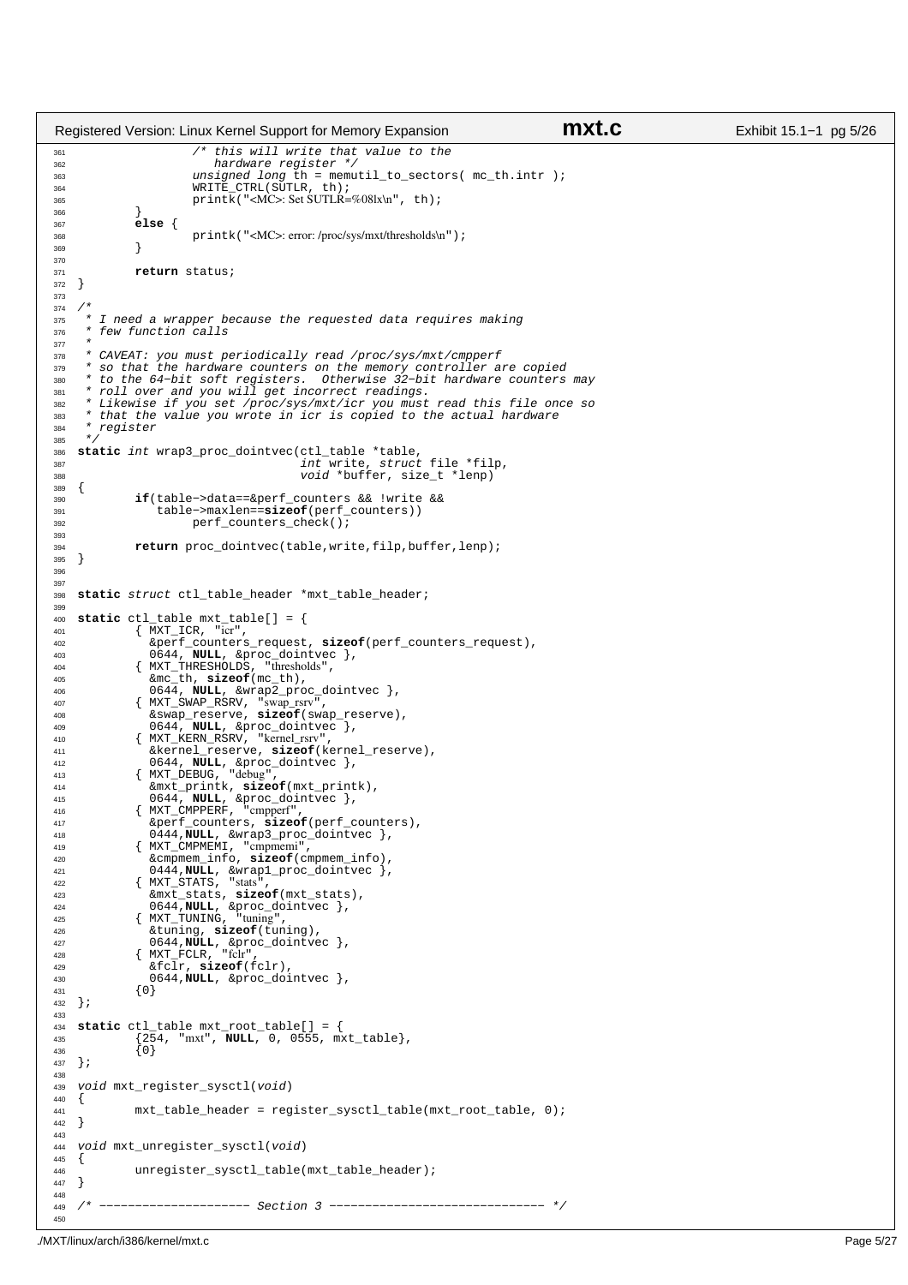```
361 \frac{1}{100} /* this will write that value to the<br>362 hardware register */
362 hardware register<br>363 hardware register<br>363 unsigned long th = me
363 unsigned long th = memutil_to_sectors( mc_th.intr );<br>364 WRITE_CTRL(SUTLR, th);
364 WRITE_CTRL(SUTLR, th);<br>365 printk("<MC>: Set SUTLR=
                          print\overline{k}("<MC>: Set SUTLR=%08lx\n", th);
366 }
367 else {
               printk("<MC>: error: /proc/sys/mxt/thresholds\n");
369 }
370
371 return status;
372 }
373
374 / *<br>375 / ** I need a wrapper because the requested data requires making
376 * few function calls
377 *
% * CAVEAT: you must periodically read /proc/sys/mxt/cmpperf<br>% * so that the hardware counters on the memory controller are copied<br>% * to the 64-bit soft registers. Otherwise 32-bit hardware counters may<br>% * roll over and 
382 * Likewise if you set /proc/sys/mxt/icr you must read this file once so<br>383 * that the value you wrote in icr is copied to the actual hardware
383 * that the value you wrote in icr is copied to the actual hardware 
384 * register<br>385 */\star386 static int wrap3_proc_dointvec(ctl_table *table, 
387 int write, struct file *filp,
388 void *buffer, size_t *lenp)
389 \{<br>390390 if(table−>data==&perf_counters && !write && 
391 table−>maxlen==sizeof(perf_counters))
                          perf_counters_check();
393
394 return proc_dointvec(table,write,filp,buffer,lenp);
    \}396
397
398 static struct ctl_table_header *mxt_table_header;
399
400 static ctl_table mxt_table[] = {
401 { MXT_ICR, "icr",
402 &perf_counters_request, sizeof(perf_counters_request), 
403 0644, NULL, &proc_dointvec },
404 { MXT_THRESHOLDS, "thresholds",
405 &mc_th, sizeof(mc_th), 
406 0644, NULL, &wrap2_proc_dointvec },
407 { MXT_SWAP_RSRV, "swap_rsrv",
408 &swap_reserve, sizeof(swap_reserve), 
409 0644, NULL, \& \text{proc\_dointvec} \},<br>
410 \{ \text{MXT} \& \text{RERN RSN} "kernel rsrv"
410 { MXT_KERN_RSRV, "kernel_rsrv",
411 &kernel_reserve, sizeof(kernel_reserve), 
412 0644, NULL, &proc_dointvec },
413 { MXT_DEBUG, "debug",
414 &mxt_printk, sizeof(mxt_printk), 
415 0644, NULL, &proc_dointvec },
416 { MXT_CMPPERF, "cmpperf", 
417 &perf_counters, sizeof(perf_counters), 
418 0\overline{4}44, \overline{NULL}, \& \text{wrap3\_proc\_dointvec},<br>
419 \{ MXT CMPMEMI, "cmpmemi",
419 \{ MXT_CMPMEMI, "cmpmemi",<br>420 6 cmpmem info, size of (c)
                  420 &cmpmem_info, sizeof(cmpmem_info), 
421 0444,NULL, &wrap1_proc_dointvec },
422 { MXT_STATS, "stats", 
423 &mxt_stats, sizeof(mxt_stats), 
424 0644, NULL, &proc_dointvec },<br>
425 { MXT_TUNING, "tuning",<br>
426 &tuning, sizeof(tuning),
427 0644, NULL, & proc_dointvec },<br>
428 { MXT_FCLR, "fclr",
429 &fclr, sizeof(fclr), 
430 0644,NULL, &proc_dointvec },
\{0\}<br>432 } ; \{0\}432 };
433
434 static ctl_table mxt_root_table[] = {
435 {254, "mxt", NULL, 0, 0555, mxt_table},
436 {0}
437 };
438
439 void mxt register sysctl(void)
440 {<br>441\begin{cases} \text{mxt}\_\text{table}\_\text{header} = \text{register}\_\text{system}\_\text{table}(\text{mxt}\_\text{root}\_\text{table}, 0); \end{cases}442 }
443
444 void mxt_unregister_sysctl(void)
445 {
446 unregister_sysctl_table(mxt_table_header);<br>447 }
    \rightarrow448
449 /* −−−−−−−−−−−−−−−−−−−−− Section 3 −−−−−−−−−−−−−−−−−−−−−−−−−−−−−− */
450
Registered Version: Linux Kernel Support for Memory Expansion mxt.c Exhibit 15.1−1 pg 5/26
```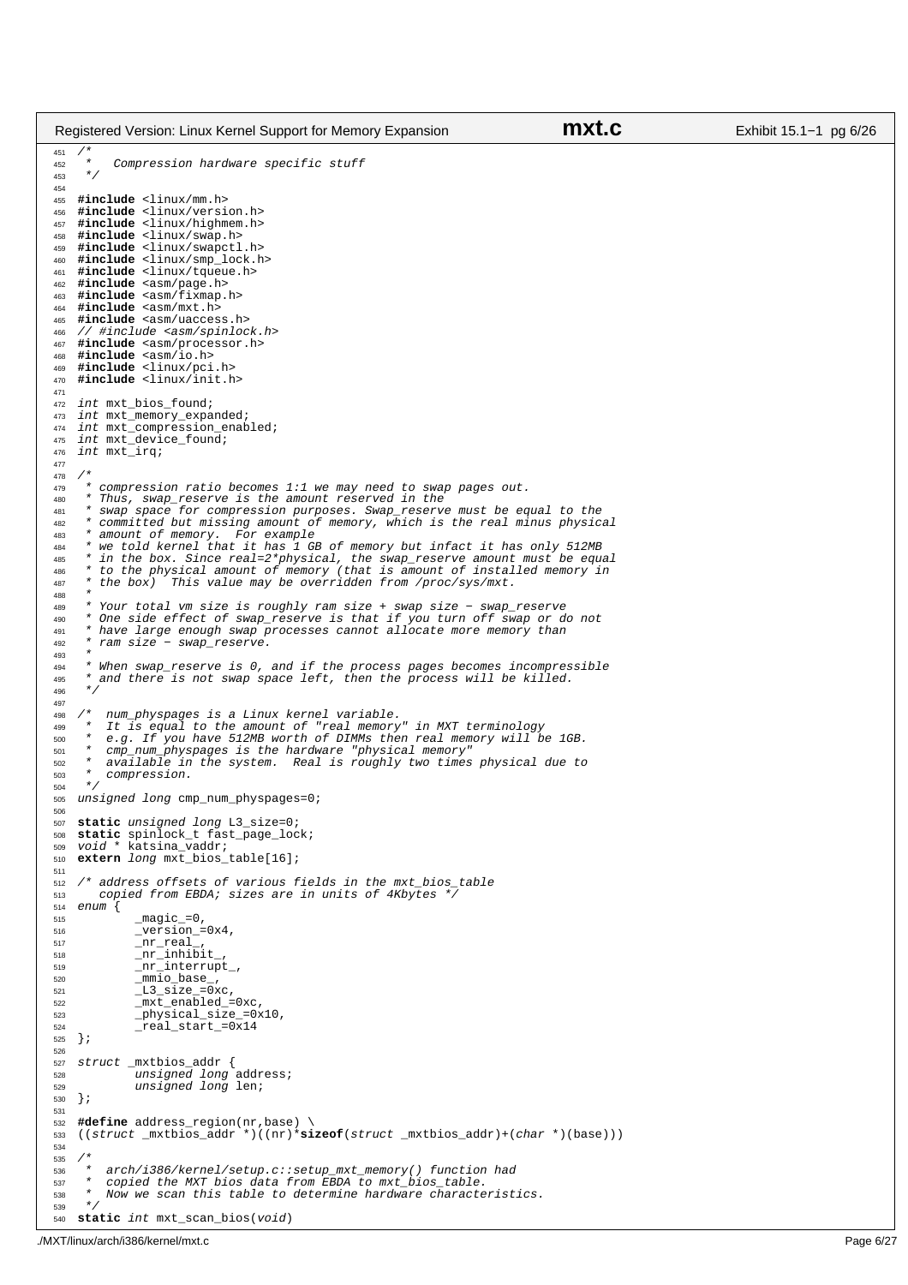```
451 /*
452 * Compression hardware specific stuff
453 */
454
455 #include <linux/mm.h>
456 #include <linux/version.h>
457 #include <linux/highmem.h>
458 #include <linux/swap.h>
459 #include <linux/swapctl.h>
460 #include <linux/smp_lock.h>
     461 #include <linux/tqueue.h>
462 #include <asm/page.h>
463 #include <asm/fixmap.h>
464 #include <asm/mxt.h>
     465 #include <asm/uaccess.h>
466 // #include <asm/spinlock.h><br>467 #include <asm/processor.h>
     467 #include <asm/processor.h>
468 #include <asm/io.h>
469 #include <linux/pci.h>
470 #include <linux/init.h>
471
472 int mxt_bios_found;<br>473 int mxt memory expa
473 int mxt_memory_expanded;<br>474 int mxt_compression_enak
474 int mxt_compression_enabled;<br>475 int mxt device found;
    int mxt_device_found;
476 int mxt_irq;
477
478 /*
479 * compression ratio becomes 1:1 we may need to swap pages out.<br>480 * Thus swap reserve is the amount reserved in the
480 * Thus, swap_reserve is the amount reserved in the
481 * swap space for compression purposes. Swap_reserve must be equal to the 
482 * committed but missing amount of memory, which is the real minus physical
483 * amount of memory. For example<br>484 * we told kernel that it has 1 GB
484 * we told kernel that it has 1 GB of memory but infact it has only 512MB<br>485 * in the box Since real=2*physical the swap reserve amount must be equi-
485 * in the box. Since real=2*physical, the swap_reserve amount must be equal
486 * to the physical amount of memory (that is amount of installed memory in
487 * the box) This value may be overridden from /proc/sys/mxt.
488<br>489
489 * Your total vm size is roughly ram size + swap size − swap_reserve
490 * One side effect of swap_reserve is that if you turn off swap or do not 
491 * have large enough swap processes cannot allocate more memory than
492 * ram size − swap_reserve. 
493<br>494
494 * When swap_reserve is 0, and if the process pages becomes incompressible
      * and there is not swap space left, then the process will be killed.
496
497
498 /* num_physpages is a Linux kernel variable.
499 * It is equal to the amount of "real memory" in MXT terminology
500 * e.g. If you have 512MB worth of DIMMs then real memory will be 1GB.
501 * cmp_num_physpages is the hardware "physical memory"
502 * available in the system. Real is roughly two times physical due to<br>503 * compression.
      \frac{*}{*} compression.
504unsigned long cmp_num_physpages=0;
506
507 static unsigned long L3_size=0;
508 static spinlock_t fast_page_lock;
509 void * katsina_vaddr;
510 extern long mxt_bios_table[16];
511
512 /* address offsets of various fields in the mxt_bios_table<br>513 copied from EBDA; sizes are in units of 4Kbytes */
513 copied from EBDA; sizes are in units of 4Kbytes *,<br>514 enum {
    enum {
515 magic =0.
516 _version_=0x4, 
517 _nr_real_,
                 nr_inhibit
\text{Tr}\left[\text{interrupt}\right], \text{Im}\left[\text{t}^{\text{min}}\right]520 _mmio_base_,
521 _L3_size_=0xc,
522 _mxt_enabled_=0xc,
\frac{1}{2} \frac{1}{2} \frac{1}{2} \frac{1}{2} \frac{1}{2} \frac{1}{2} \frac{1}{2} \frac{1}{2} \frac{1}{2} \frac{1}{2} \frac{1}{2} \frac{1}{2} \frac{1}{2} \frac{1}{2} \frac{1}{2} \frac{1}{2} \frac{1}{2} \frac{1}{2} \frac{1}{2} \frac{1}{2} \frac{1}{2} \frac{1}{2} \text{real\_start}\_=\overline{0x14}525 };
526
527 struct _mxtbios_addr {<br>528 unsigned long
528 unsigned long address;
529 unsigned long len;
530 };
531
532 #define address_region(nr,base) \frac{933 ((struct mxtbios addr *)((nr)*si
     533 ((struct _mxtbios_addr *)((nr)*sizeof(struct _mxtbios_addr)+(char *)(base)))
534
535 / *536 * arch/i386/kernel/setup.c::setup_mxt_memory() function had
537 * copied the MXT bios data from EBDA to mxt_bios_table. 
538 * Now we scan this table to determine hardware characteristics.<br>539 */
      \starRegistered Version: Linux Kernel Support for Memory Expansion mxt.c Exhibit 15.1−1 pg 6/26
```
**static** int mxt\_scan\_bios(void)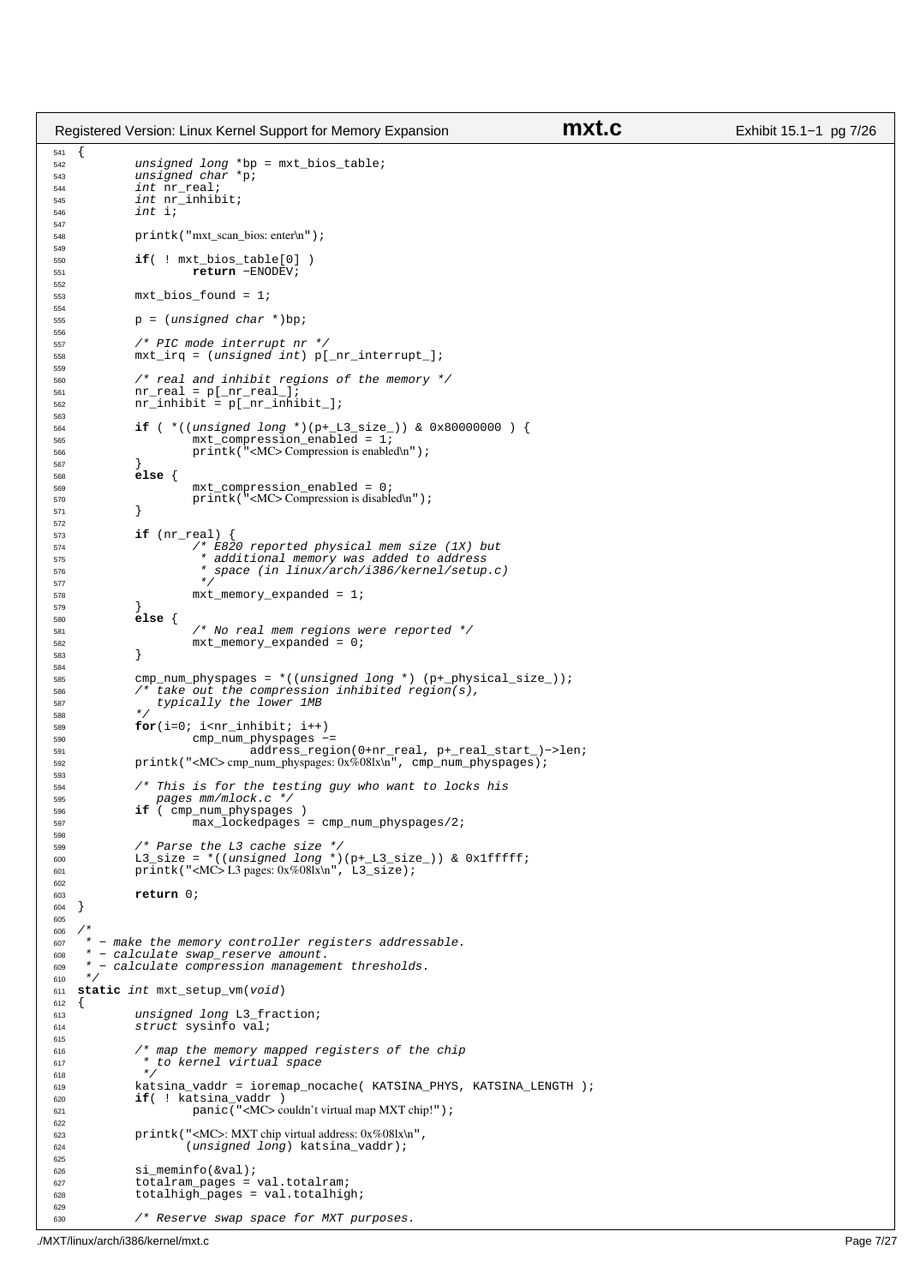```
\begin{matrix} 541 \\ 542 \end{matrix}unsigned long *bp = mxt bios table;
543 unsigned char *p;<br>544 int nr_real;
                int nr_real;
545 int \t{int} \t{int} int \t{1};
                int i;
547
548 printk("mxt_scan_bios: enter\n");
549
550 if( ! mxt_bios_table[0] )
551 return −ENODEV;
552
                mxt bios found = 1;
554
555 p = (unsigned char * )bp;
556
557 \frac{1}{558} /* PIC mode interrupt nr */<br>558 mxt irq = (unsigned int) p[
                mxt\_irq = (unsigned int) p[nr_interrupt_];559
560 /* real and inhibit regions of the memory */
561 nr_real = p[_nr_real_];
562 nr_inhibit = p[_nr_inhibit_];
563
564 if ( *((unsigned long *)(p+_L3_size_)) & 0x80000000 ) {
                           mxt_{compression\_enabled} = 1;566 printk("<MC> Compression is enabled\n");
567 }
                e<sup>1se</sup> {
569 mxt_compression_enabled = 0;
570 printk("<MC> Compression is disabled\n");
571 }
572
573 if (nr_{real})<br>574 if \left(\frac{n}{f_{max}}\right)574 /* E820 reported physical mem size (1X) but<br>575 * additional memory was added to address
575 * additional memory was added to address
576 * space (in linux/arch/i386/kernel/setup.c)
577 * /578 mxt_memory_expanded = 1;
579<br>580
                580 else {
581 /* No real mem regions were reported */
                mxt_memory_expanded = 0;583 }
584
585 cmp_num_physpages = *((unsigned long *) (p+_physical_size_));
586 /* take out the compression inhibited region(s), 
587 typically the lower 1MB<br>588 \star/
588 */
589 for(i=0; i<sup>2</sup> <i>cm</i> _{1} <i>th</i> <i>th</i> <i>th</i> <i>th</i> <i>th</i> <i>th</i> <i>th</i> <i>th</i> <i>th</i> <i>th</i> <i>th</i> <i>th</i> <i>th</i> <i>th</i> <i>th</i> <i>th</i> <i>th</i> <i>th</i> <i>th</i> <i>th</i> <i>th</i> <i>th</i> <i>th</i> <i>th</i> <i>th</i> <i>th</i> <i590 cmp_num_physpages −= 
591 address_region(0+nr_real, p+_real_start_)−>len;
592 printk("<MC> cmp_num_physpages: 0x\%08lx\n", cmp_num_physpages);
593
594 /* This is for the testing guy who want to locks his<br>595
                    595 pages mm/mlock.c */
596 if ( cmp_num_physpages )<br>597 max lockedpages
                           max\_lockedpages = comp\_num\_physpages/2;598
599 /* Parse the L3 cache size */
600 L3_size = *((unsigned long *)(p+_L3_size_)) & 0x1fffff;
601 printk("<MC> L3 pages: 0x%08lx\n", L3_size);
602
603 return 0;<br>604 }
    \}605
606 /*<br>607 *
<sub>607</sub> * – make the memory controller registers addressable.<br><sub>608</sub> * – calculate swap reserve amount.
608 * − calculate swap_reserve amount.<br>608 * − calculate swap_reserve amount.
\begin{array}{rcl}\n\text{609} & \star - \text{calculate compression management thresholds.} \\
\text{610} & \star / \n\end{array}\star611 static int mxt_setup_vm(void)
612 \begin{array}{c} 612 \end{array}613 unsigned long L3_fraction;<br>614 struct sysinfo val;
                struct sysinfo val;
615
616 /* map the memory mapped registers of the chip
617 * to kernel virtual space 
618 */
619 katsina_vaddr = ioremap_nocache( KATSINA_PHYS, KATSINA_LENGTH );
620 if( ! katsina_vaddr )
621 panic("<MC> couldn't virtual map MXT chip!");
622
623 printk("<MC>: MXT chip virtual address: 0x%08lx\n",<br>
(unsigned long) katsina vaddr);
                          (unsigned long) katsina_value);625
626 si_meminfo(&val);<br>627 totalram pages =
627 totalram_pages = val.totalram;<br>628 totalhigh_pages = val.totalhig
                total high_{\texttt{pages}} = val.totalhigh;
629
630 /* Reserve swap space for MXT purposes.
Registered Version: Linux Kernel Support for Memory Expansion mxt.c Exhibit 15.1–1 pg 7/26
```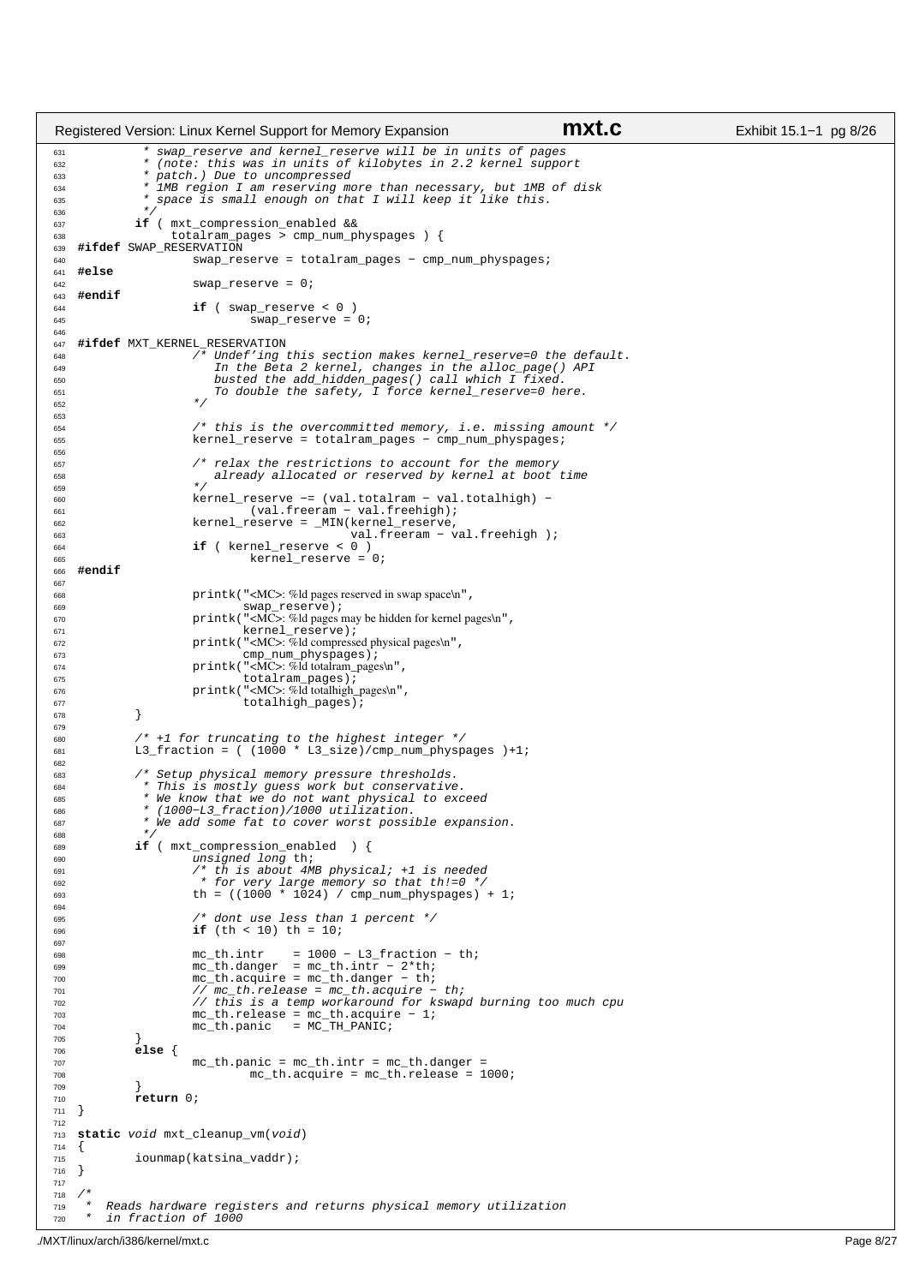```
631 * swap_reserve and kernel_reserve will be in units of pages
632 * (note: this was in units of kilobytes in 2.2 kernel support 
633 * patch.) Due to uncompressed<br>634 * IMB region I am reserving mo
                  IMB region I am reserving more than necessary, but 1MB of disk
635 * space is small enough on that I will keep it like this.<br>636
636 *637 if ( mxt_compression_enabled && 
638 totalram_pages > cmp_num_physpages ) {
639 #ifdef SWAP_RESERVATION
640 swap_reserve = totalram_pages − cmp_num_physpages;
    641 #else
642 swap_reserve = 0;<br>643 #endif
643 #endif
\frac{1}{\textbf{if}} ( swap_reserve < 0 )<br>\frac{1}{\textbf{if}} ( swap_reserve =
                                  swap\_reserve = 0;646
647 #ifdef MXT_KERNEL_RESERVATION
648 \overline{\phantom{a}} /* Undef'ing this section makes kernel_reserve=0 the default.<br>649 \overline{\phantom{a}} In the Beta 2 kernel, changes in the alloc page() API
649 In the Beta 2 kernel, changes in the alloc_page() API
650 busted the add_hidden_pages() call which I fixed.<br>651 651 couple the safety. I force kernel reserve=0 he
                            To double the safety, I force kernel_reserve=0 here.
652 * /653
\frac{1}{654} /* this is the overcommitted memory, i.e. missing amount */<br>\frac{1}{655} kernel reserve = totalram pages - cmp num physpages:
                        kernel_reserve = totalram_pages - cmp_num_physpages;
656
657 /* relax the restrictions to account for the memory
658 already allocated or reserved by kernel at boot time 
659 * /
660 kernel_reserve −= (val.totalram − val.totalhigh) − 
661 (val.freeram − val.freehigh);<br>662 (val.freeram − val.freehigh);<br>662 (kernel reserve = MIN(kernel reserve,
                        kernel_reserve = _MIN(kernel_reserve,
663 val.freeram − val.freehigh );
664 if ( kernel_reserve < 0 ) 
665<br>
formed_reserve = 0;<br>
\text{Kernel\_reserve} = 0;666 #endif
667
<sup>568</sup> printk("<MC>: %ld pages reserved in swap space\n",<br>
<sup>669</sup> swap_reserve);
669 swap_reserve);
670 printk("<MC>: %ld pages may be hidden for kernel pages\n",
671 kernel_reserve);<br>672 brintk("<MC>: %ld compress
                        672 printk("<MC>: %ld compressed physical pages\n", 
673 cmp_num_physpages);
674 printk("<MC>: %ld totalram_pages\n", 
675 totalram_pages);
676 printk("<MC>: %ld totalhigh_pages\n", 
\begin{array}{c} 677 \\ 678 \end{array} totalhigh_pages);
678 }
679
680 /* +1 for truncating to the highest integer */
681 L3_fraction = ( (1000 * L3_size)/cmp_num_physpages )+1;
682<br>683
683 /* Setup physical memory pressure thresholds.
684 * This is mostly guess work but conservative.
685 * We know that we do not want physical to exceed 
686 * (1000−L3_fraction)/1000 utilization. 
687 * We add some fat to cover worst possible expansion.
688 */
689 if ( mxt_compression_enabled ) {
690 unsigned long th;
691 /* th is about 4MB physical; +1 is needed
692 * for very large memory so that th!=0 */
693 th = ((1000 * 1024) / cmp_num_physpages) + 1;
694
695 /* dont use less than 1 percent */
696 if (th < 10) th = 10;
697
698 mc_th.intr = 1000 − L3_fraction − th;
699 mc_th.danger = mc_th.intr − 2*th;
700 mc_th.acquire = mc_th.danger − th;
701 // mc_th.release = mc_th.acquire − th;<br>702 // this is a temp workaround for kswap
702 // this is a temp workaround for kswapd burning too much cpu<br>mc th.release = mc th.acquire - 1;
703 mc_th.release = mc_th.acquire − 1;
704 mc_th.panic = MC_TH_PANIC;
705 } 
706 else {
707 mc_th.panic = mc_th.intr = mc_th.danger = 708
708 mc_th.acquire = mc_th.release = 1000;
709 }
710 return 0;<br>
711 }
    \left\{\right\}712
713 static void mxt_cleanup_vm(void)
714 {<br>715iounmap(katsina_vaddr);
716 }
717
718<br>719
         Reads hardware registers and returns physical memory utilization
720 * in fraction of 1000
Registered Version: Linux Kernel Support for Memory Expansion mxt.c Exhibit 15.1−1 pg 8/26
```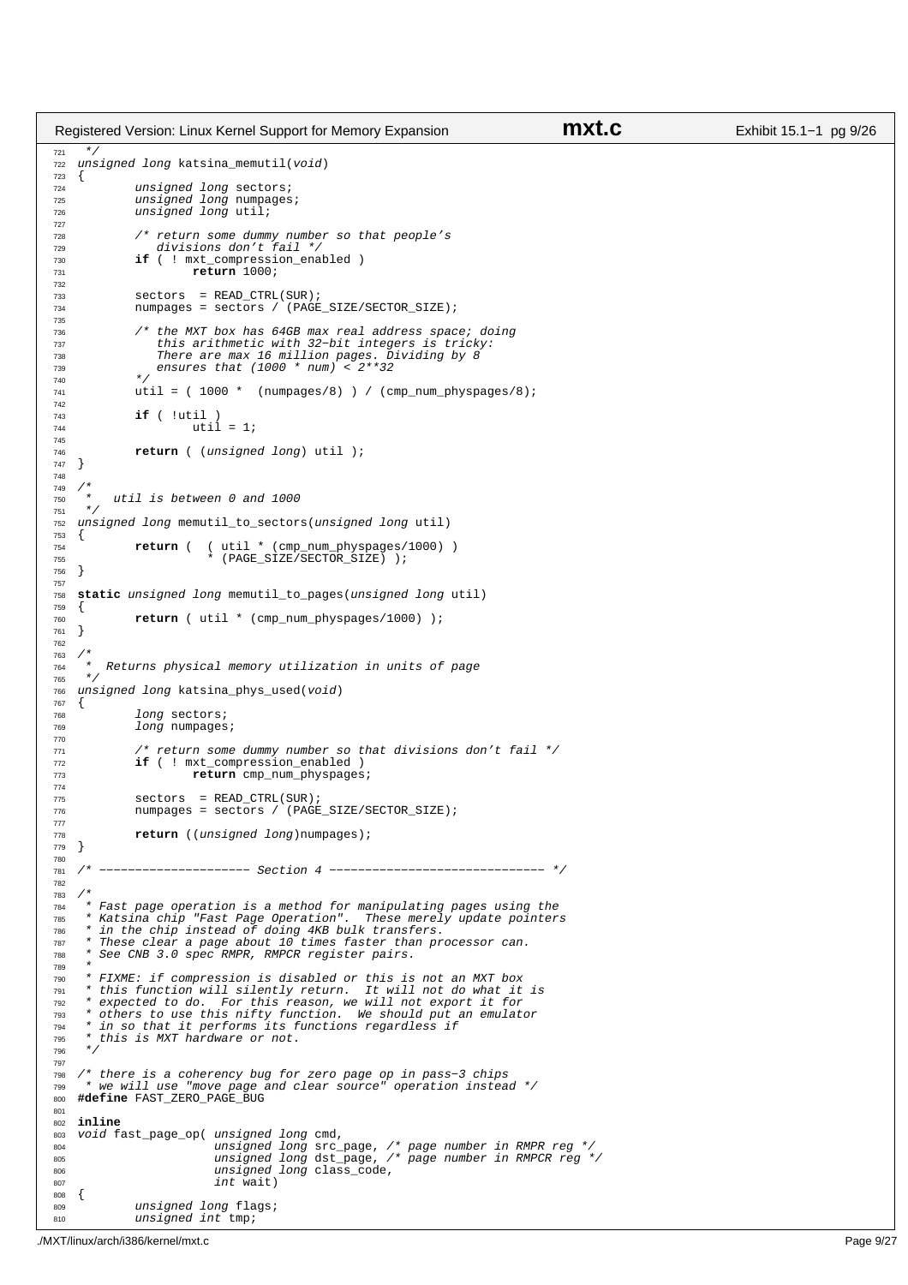```
721 */
<sup>722</sup> unsigned long katsina memutil(void)
\begin{matrix} 723 \\ 724 \end{matrix}<sup>724</sup> unsigned long sectors;<br><sup>725</sup> unsigned long numpages
725 unsigned long numpages;
726 unsigned long util;
727
\frac{728}{729} /* return some dummy number so that people's<br>\frac{729}{729}729 divisions don't fail */<br>730 if ( ! mxt compression ena
730 if ( ! mxt_compression_enabled )<br>
return 1000;
                        731 return 1000; 
732
733 sectors = READ_CTRL(SUR);
              numpages = sectors / (PAGE\_SIZE/SECTION\_SIZE);735
736 /* the MXT box has 64GB max real address space; doing 
737 this arithmetic with 32−bit integers is tricky:
738 There are max 16 million pages. Dividing by 8
739 ensures that (1000 * num) < 2**32 
740<br>741
              util = ( 1000 * (numpages/8) ) / (cmp_numberspages/8);742
743 if ( !util ) 
                        util = 1;745
746 return ( (unsigned long) util );
   747 }
748
749 /*
          util is between 0 and 1000
\frac{751}{752} \frac{*}{752}unsigned long memutil_to_sectors(unsigned long util)
753 \{753, 754\}754 return ( ( util * (cmp_num_physpages/1000) ) 
755 * (PAGE_SIZE/SECTOR_SIZE) );
   \}757
758 static unsigned long memutil_to_pages(unsigned long util) 
759 {
              \texttt{return} ( util * (cmp_num_physpages/1000) );
761}
762
763 /*<br>764 *
764 * Returns physical memory utilization in units of page */\star766 unsigned long katsina_phys_used(void)
\begin{matrix} 767 \\ 768 \end{matrix}768 long sectors;<br>769 long numpages
              long numpages;
770
771 /* return some dummy number so that divisions don't fail */
772 if ( ! mxt_compression_enabled )<br>773 return cmp num physpages
                         return cmp_num_physpages;
774
775 sectors = READ_CTRL(SUR);
776 numpages = sectors / (PAGE_SIZE/SECTOR_SIZE);
777
778 return ((unsigned long)numpages);
   \}780
781 /* −−−−−−−−−−−−−−−−−−−−− Section 4 −−−−−−−−−−−−−−−−−−−−−−−−−−−−−− */
782
783<br>784
     * Fast page operation is a method for manipulating pages using the
785 * Katsina chip "Fast Page Operation". These merely update pointers 
786 * in the chip instead of doing 4KB bulk transfers. 
"<br>These clear a page about 10 times faster than processor can.<br>788 * See CNB 3.0 spec RMPR, RMPCR register pairs.
     788 * See CNB 3.0 spec RMPR, RMPCR register pairs.
789<br>790
790 * FIXME: if compression is disabled or this is not an MXT box 
791 * this function will silently return. It will not do what it is
792 * expected to do. For this reason, we will not export it for 
793 * others to use this nifty function. We should put an emulator
794 * in so that it performs its functions regardless if 
795 * this is MXT hardware or not.
796
797
798 /* there is a coherency bug for zero page op in pass−3 chips 
799 * we will use "move page and clear source" operation instead */
800 #define FAST_ZERO_PAGE_BUG
801
802 inline
803 void fast_page_op( unsigned long cmd,
804 unsigned long src_page, /* page number in RMPR reg */
805 unsigned long dst_page, /* page number in RMPCR reg */
806 unsigned long class_code,<br>807 int wait)
\begin{array}{c|c}\n\text{807} & \text{int wait}\n\end{array}808 \t{809}unsigned long flags;
810 unsigned int tmp;
Registered Version: Linux Kernel Support for Memory Expansion mxt.c Exhibit 15.1–1 pg 9/26
```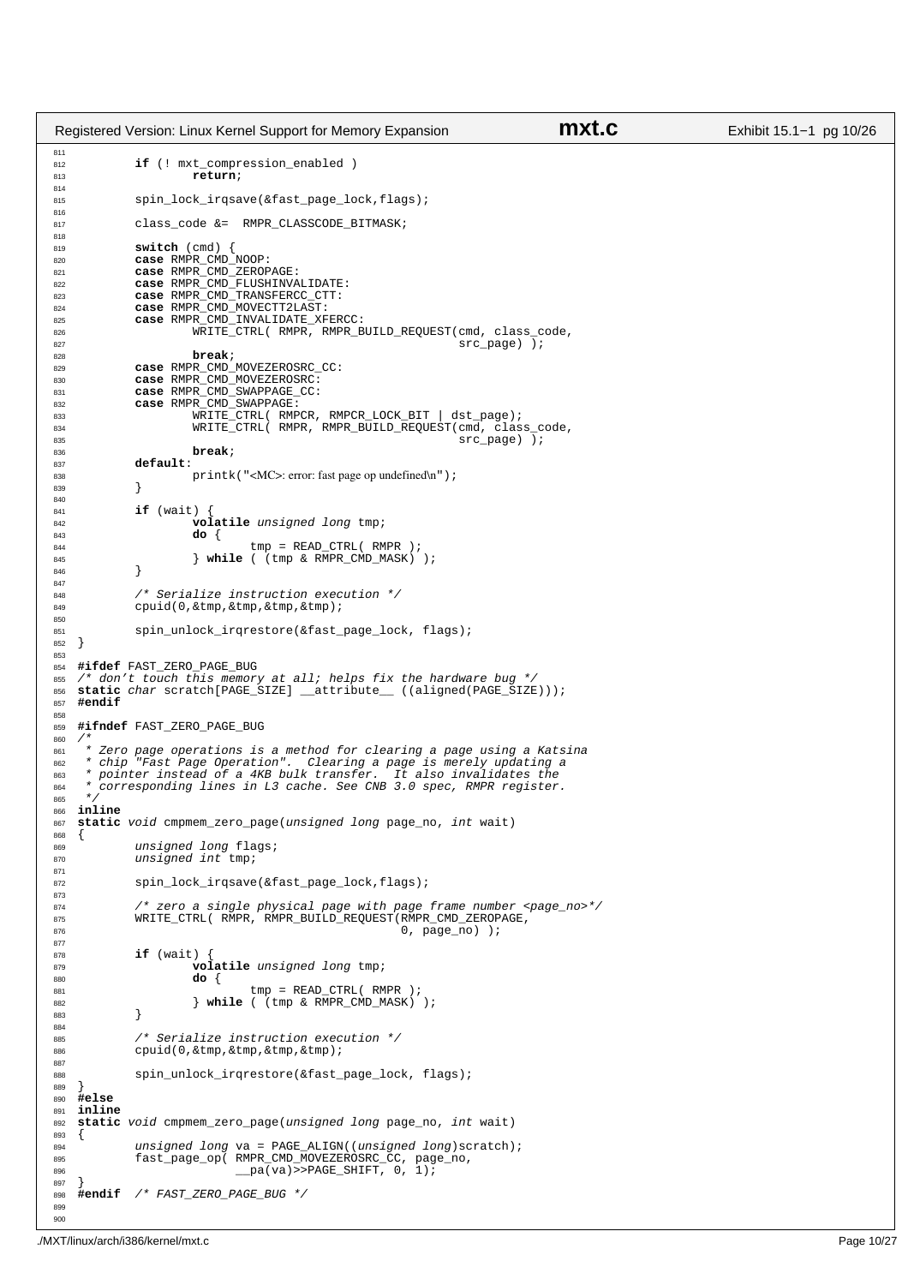```
811
<sup>812</sup> if (! mxt compression enabled )
813 return;
814
815 spin_lock_irqsave(&fast_page_lock,flags);
816
817 class code &= RMPR_CLASSCODE_BITMASK;
818
819 switch (cmd) {<br>820 case RMPR CMD
820 case RMPR_CMD_NOOP:<br>821 case RMPR CMD ZEROP
821 case RMPR_CMD_ZEROPAGE:
822 case RMPR_CMD_FLUSHINVALIDATE: 
823 case RMPR_CMD_TRANSFERCC_CTT:
824 case RMPR_CMD_MOVECTT2LAST:
            825 case RMPR_CMD_INVALIDATE_XFERCC:
826 WRITE_CTRL( RMPR, RMPR_BUILD_REQUEST(cmd, class_code,<br>827 sec page) );
\frac{1}{\sqrt{2}} src_page) );<br>ass
828 break;<br>828 case RMPR CMD
829 case RMPR_CMD_MOVEZEROSRC_CC:
830 case RMPR_CMD_MOVEZEROSRC:
            831 case RMPR_CMD_SWAPPAGE_CC:
832 case RMPR_CMD_SWAPPAGE:
833 WRITE_CTRL( RMPCR, RMPCR_LOCK_BIT | dst_page); 
834 WRITE_CTRL( RMPR, RMPR_BUILD_REQUEST(cmd, class_code,<br>835 STC Dage) );
                                                                src\_page) );
836 break;
837 default:
838 printk("<MC>: error: fast page op undefined\n");<br>839 }
839 }
840841 if (wait) {<br>842 vol
                      842 volatile unsigned long tmp;
843 do {
\begin{array}{ccc}\n & \text{temp} = \text{READ\_CTEL} \text{ ( } \text{RMPR} \text{ ) } i \\
\text{R45} \text{ }\n\end{array}845 } while ( (tmp & RMPR_CMD_MASK) );
846
847
848 /* Serialize instruction execution */
             cpuid(0,&tmp,&tmp,&tmp,&tmp);
850
en<br>851 spin_unlock_irqrestore(&fast_page_lock, flags);<br>852 }
   \left\{ \right\}853
854 #ifdef FAST_ZERO_PAGE_BUG
855 /* don't touch this memory at all; helps fix the hardware bug */
856 static char scratch[PAGE_SIZE] __attribute__ ((aligned(PAGE_SIZE)));
857 #endif
858<br>859
   859 #ifndef FAST_ZERO_PAGE_BUG
860861 * Zero page operations is a method for clearing a page using a Katsina
862 * chip "Fast Page Operation". Clearing a page is merely updating a 
863 * pointer instead of a 4KB bulk transfer. It also invalidates the 
864 * corresponding lines in L3 cache. See CNB 3.0 spec, RMPR register.
     \star866 inline
   867 static void cmpmem_zero_page(unsigned long page_no, int wait)
868 {<br>869
869 unsigned long flags;<br>870 unsigned int tmp;
            unsigned int tmp;
871
872 spin_lock_irqsave(&fast_page_lock,flags);
873<br>874
             /* zero a single physical page with page frame number <page_no>*/
875 WRITE_CTRL( RMPR, RMPR_BUILD_REQUEST(RMPR_CMD_ZEROPAGE,
\frac{1}{876} 0, page_no) );
877
878 if (wait) {<br>879 vol
879 volatile unsigned long tmp;<br>RRO
                      880 do {
881 tmp = READ_CTRL( RMPR );<br>
882 htile ( (tmp & RMPR_CMD_MASK) );
883 }
884
885 /* Serialize instruction execution */
886 cpuid(0,&tmp,&tmp,&tmp,&tmp);
887
888 spin_unlock_irqrestore(&fast_page_lock, flags); 
889 }
890 #else
   891 inline
892 static void cmpmem_zero_page(unsigned long page_no, int wait)
893 {
894 unsigned long va = PAGE_ALIGN((unsigned long)scratch);
895 fast_page_op( RMPR_CMD_MOVEZEROSRC_CC, page_no, 
896 \overline{pa(va)} > PAGE SHIFT, 0, 1);
897 }
    898 #endif /* FAST_ZERO_PAGE_BUG */
899
900
Registered Version: Linux Kernel Support for Memory Expansion mxt.c Exhibit 15.1−1 pg 10/26
```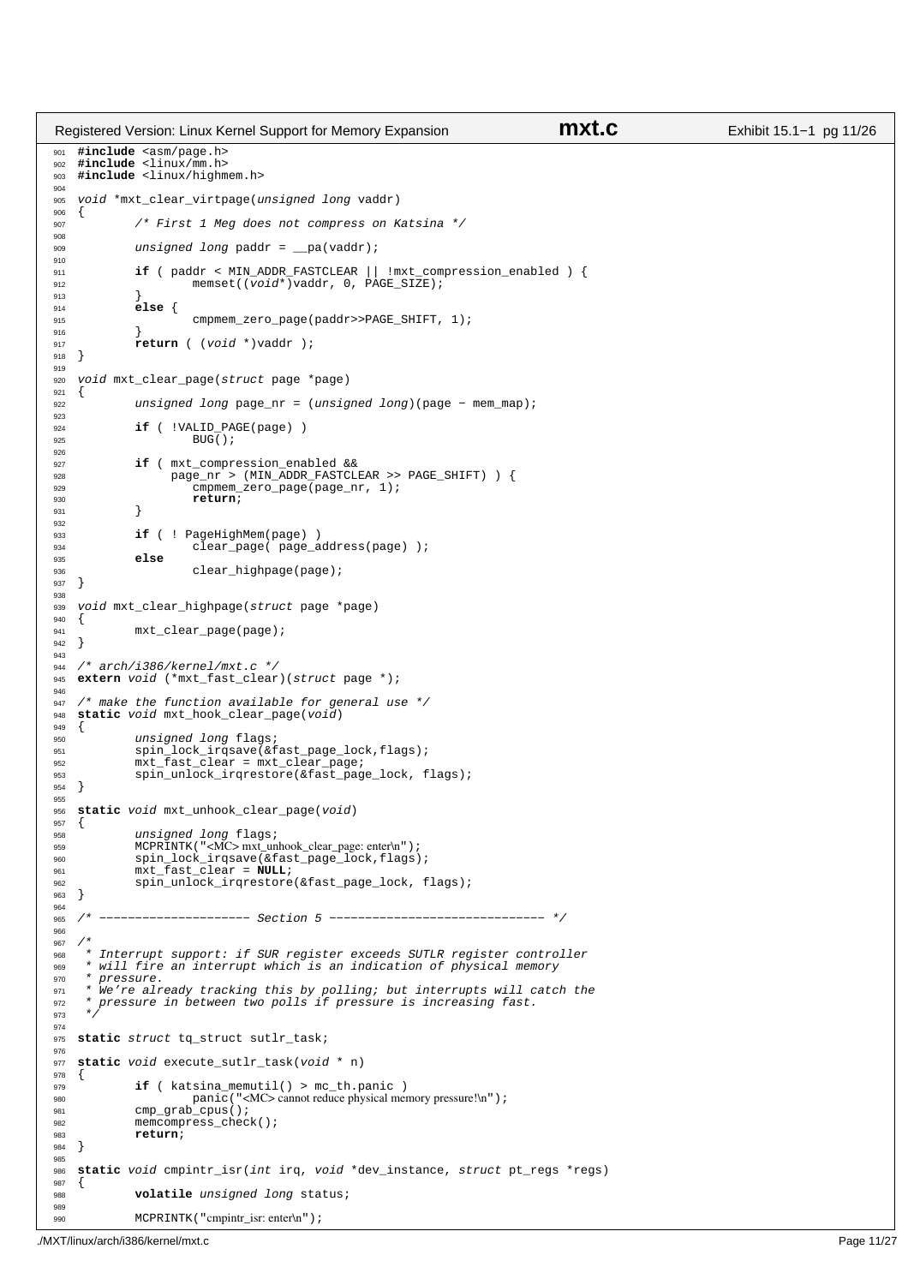```
901 #include <asm/page.h>
902 #include <linux/mm.h>
903 #include <linux/highmem.h>
904
905 void *mxt_clear_virtpage(unsigned long vaddr)<br>906 {
906 {
907 /* First 1 Meg does not compress on Katsina */
908
909 unsigned long paddr = __pa(vaddr);
910
911 if ( paddr < MIN_ADDR_FASTCLEAR || !mxt_compression_enabled ) {
912 memset((void*)vaddr, 0, PAGE_SIZE);
913<br>914
914 else {
                        cmpmem_zero_page(paddr>>PAGE_SHIFT, 1);
916 }
917 return ( (void *)vaddr );
918 }
919<br>920
   void mxt_clear_page(struct page *page)
921 {
922 unsigned long page_nr = (unsigned long)(page − mem_map);
923
924 if ( !VALID_PAGE(page) )<br>925 BUG();
                        BUG();
926
927 if ( mxt_compression_enabled && 
928 page_nr > (MIN_ADDR_FASTCLEAR >> PAGE_SHIFT) ) {
929 cmpmem_zero_page(page_nr, 1);<br>return;
              930 return;
931 }
932
933 if ( ! PageHighMem(page) )
934 clear_page( page_address(page) );
935 else
                        clear_highpage(page);
937 }
938
939 void mxt_clear_highpage(struct page *page)
   \{941 mxt_clear_page(page);<br>942 }
   \{943
944 /* arch/i386/kernel/mxt.c */
945 extern void (*mxt_fast_clear)(struct page *);
946
947 /* make the function available for general use */<br>948 static void mxt hook clear page(void)
   static void mxt_hook_clear_page(void)<br>{
949unsigned long flags;
951 spin_lock_irqsave(&fast_page_lock,flags);
952 mxt_fast_clear = mxt_clear_page;<br>953 mxt_fast_clear = mxt_clear_page;<br>953 spin unlock irgrestore(&fast pag
              spin_unlock_irqrestore(&fast_page_lock, flags);
954 }
955
956 static void mxt_unhook_clear_page(void)
957 {
958 unsigned long flags;<br>959 MCPRINTK ("<MC> mxt un
959 MCPRINTK("<MC> mxt_unhook_clear_page: enter\n");<br>960 spin lock_irgsave(&fast_page_lock_flags)
960 spin_lock_irqsave(&fast_page_lock,flags);
961 mxt_fast_clear = NULL;
962 spin_unlock_irqrestore(&fast_page_lock, flags);<br>963 }
   \{964
965 /* −−−−−−−−−−−−−−−−−−−−− Section 5 −−−−−−−−−−−−−−−−−−−−−−−−−−−−−− */
966
967 /*
essent to the support: if SUR register exceeds SUTLR register controller<br>sestant in the set interrupt which is an indication of physical memory
969 * will fire an interrupt which is an indication of physical memory<br>970 * Pressure
       970 * pressure. 
971 * We're already tracking this by polling; but interrupts will catch the 
972 * pressure in between two polls if pressure is increasing fast. 
973 *974
975 static struct tq_struct sutlr_task;
976
977 static void execute_sutlr_task(void * n)
978 \{<br>979
979 if ( katsina_memutil() > mc_th.panic )<br>
980 panic("<MC> cannot reduce physical memory pressure!\n");<br>
981 cmp_grab_cpus();
982 memcompress_check();<br>983 return;
983 return;<br>984 }
   \{985
986 static void cmpintr_isr(int irq, void *dev_instance, struct pt_regs *regs)
987 {
              volatile unsigned long status;
989
990 MCPRINTK ("cmpintr_isr: enter\n");
Registered Version: Linux Kernel Support for Memory Expansion mxt.c Exhibit 15.1−1 pg 11/26
```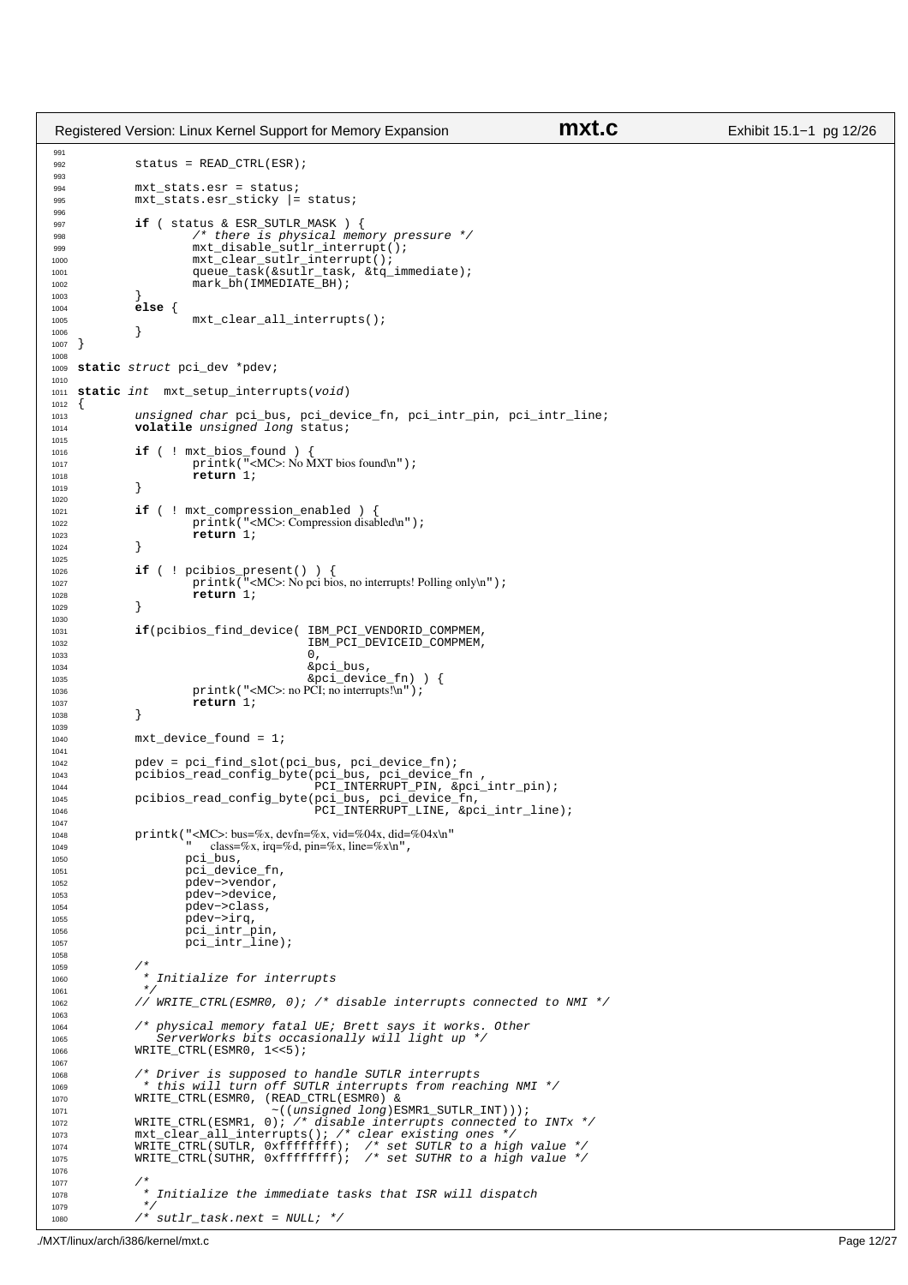```
991
992 status = READ CTRL(ESR);
993
994 mxt_stats.esr = status;<br>995 mxt stats.esr sticky |=
                mxt_stats.esr_sticky |= status;
996
997 if ( status & ESR_SUTLR_MASK ) { 
998 /* there is physical memory pressure */
999 mxt_disable_sutlr_interrupt();<br>1000 mxt_clear_sutlr_interrupt();
1000 mxt_clear_sutlr_interrupt();<br>1001 media = music state of task (&sutlr task &to
1001 queue_task(&sutlr_task, &tq_immediate);
1002 mark_bh(IMMEDIATE_BH);
1003<br>1004
1004 else {
                 mxt_clear_all_interrupts();
\begin{bmatrix} 1006 \\ 1007 \end{bmatrix}1007
1008
1009 static struct pci_dev *pdev;
1010
1011 static int mxt_setup_interrupts(void)
\begin{matrix} 1012 \\ 1013 \end{matrix}1013 unsigned char pci_bus, pci_device_fn, pci_intr_pin, pci_intr_line;<br>1014 volatile unsigned long status;
                volatile unsigned long status;
1015
1016 if ( ! mxt_bios_found ) {<br>
printk("<MC>: No MXT bios found\n");
1018 return 1;
1019 }
10201021 if ( ! mxt_compression_enabled ) { \text{printk}(\text{``}<M.C>=}) (Ompression disperse)
                            printk("<MC>: Compression disabled\n");
1023 return 1;<br>1024 }
1024 }
1025
1026 if ( ! pcibios_present() ) {<br>
printk("<MC>: No pci bios, no interrupts! Polling only\n");
1028 return 1;<br>1029 f
1029 }
1030
1031 if(pcibios_find_device( IBM_PCI_VENDORID_COMPMEM,<br>1032 IBM_PCI_DEVICEID_COMPMEM,
1033 0,
1034 &pci_bus,
1035 &pci_device_fn) ) {
1036 printk("<MC>: no PCI; no interrupts!\n");
1037 return 1;<br>1038 }
1038
1039
1040 mxt device found = 1;
1041
1042 pdev = pci_find_slot(pci_bus, pci_device_fn);<br>1043 pcibios read config byte(pci bus, pci device
1043 pcibios_read_config_byte(pci_bus, pci_device_fn , pci_device_fn , pci_device_fn , pci_device_fn , pci_device_fn , p , p , p , p , p , p , p , p , p , p , p , p , p , p , p , p , p , 1044 IOH PCI_INTERRUPT_PIN, &pci_intr_pin);<br>1045 pcibios_read_config_byte(pci_bus, pci_device_fn,<br>1046 PCI_INTERRUPT_LINE, &pci_intr_line);
1047
1048 printk("<MC>: bus=%x, devfn=%x, vid=%04x, did=%04x\n"<br>class=%x. irq=%d. pin=%x. line=%x\n".
<sup>1049</sup> \frac{1050}{\pi} \frac{\text{class} = \% \text{x}}{\text{arg} \cdot \text{class}}, \frac{\text{arg} \cdot \% \text{x}}{\text{arg} \cdot \text{class}}, \frac{\text{arg} \cdot \% \text{x}}{\text{arg} \cdot \text{class}}\mathtt{pci\_bus} ,
1051 pci_device_fn,
1052 pdev−>vendor,<br>
1053 pdev−>device,
1053 pdev−>device,<br>pdev->device,<br>ndev->class
                           .<br>pdev->class,
1055 pdev−>irq,<br>1056 pdev−>irq,
1056 pci_intr_pin,
1057 pci_intr_line);
1058
1059<br>1060
                 * Initialize for interrupts
1061<br>1062
                 // WRITE_CTRL(ESMR0, 0); /* disable interrupts connected to NMI */
1063
1064 /* physical memory fatal UE; Brett says it works. Other 
1065 ServerWorks bits occasionally will light up */
1066 WRITE_CTRL(ESMR0, 1<<5); 
1067
1068 /* Driver is supposed to handle SUTLR interrupts
1069 * this will turn off SUTLR interrupts from reaching NMI */
1070 WRITE_CTRL(ESMR0, (READ_CTRL(ESMR0) & 
                                            \sim ((unsigned long)ESMR1_SUTLR_INT)));
1072 WRITE_CTRL(ESMR1, 0); /* disable interrupts connected to INTx */<br>1073 mxt clear all interrupts(); /* clear existing ones */
1073 mxt_clear_all_interrupts(); /* clear existing ones */
1074 WRITE_CTRL(SUTLR, 0xffffffff); /* set SUTLR to a high value */
1075 WRITE_CTRL(SUTHR, 0xffffffff); /* set SUTHR to a high value */
1076
1077<br>1078
1078 * Initialize the immediate tasks that ISR will dispatch \star1079 */
1080 /* sutlr_task.next = NULL; */
Registered Version: Linux Kernel Support for Memory Expansion mxt.c Exhibit 15.1−1 pg 12/26
```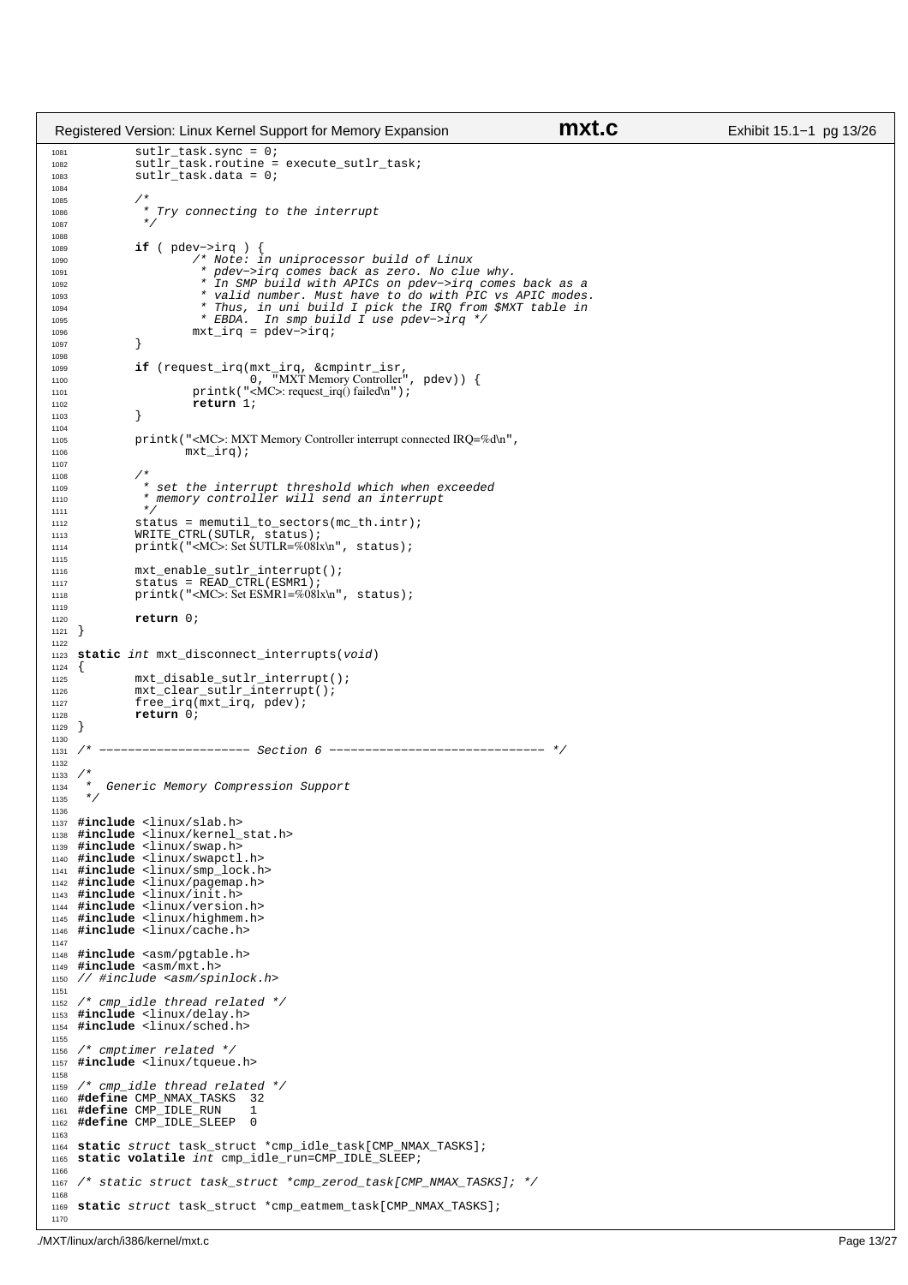```
1081 sutlr_task.sync = 0;
1082 sutlr_task.routine = execute_sutlr_task; 
1083 sutlr_task.data = 0;
1084
1085<br>1086
                 * Try connecting to the interrupt
1087
1088
1089 if ( pdev−>irq ) {
1090 /* Note: in uniprocessor build of Linux
1091 * pdev−>irq comes back as zero. No clue why. 
1092 * In SMP build with APICs on pdev−>irq comes back as a 
1093 * valid number. Must have to do with PIC vs APIC modes.
1094 * Thus, in uni build I pick the IRQ from $MXT table in
1095 * EBDA. In smp build I use pdev−>irq */
1096 mxt_irq = pdev−>irq;
\begin{array}{ccc} 1097 & & & \end{array}1098
1099 if (request_irq(mxt_irq, &cmpintr_isr,<br>
1100 0, "MXT Memory Controller", pdev)) {<br>
1101 printk("<MC>: request_irq() failed\n");
1102 return 1;<br>1103 }
1103 }
1104
1105 printk("<MC>: MXT Memory Controller interrupt connected IRQ=%d\n", 
1106 mxt_irq);
1107
1108
1110 * set the interrupt threshold which when exceeded<br>1110 * memory controller will send an interrupt
                 * memory controller will send an interrupt<br>* /
1111<br>1112
                status = memutil_to_sectors(mc_th.intr);
1113 WRITE_CTRL(SUTLR, status);
1114 printk("<MC>: Set SUTLR=%08lx\n", status);
1115
1116 mxt_enable_sutlr_interrupt();
1117 status = READ_CTRL(ESMR1);
1118 printk("<MC>: Set ESMR1=%08lx\n", status);
1119
1120 return 0;
1121 } 
1122
1123 static int mxt_disconnect_interrupts(void)
1124 \{<br>1125
                mxt\_disable\_suffix\_interrupt();
1126 mxt_clear_sutlr_interrupt();<br>1127 free irg(mxt irg, pdev);
1127 free_irq(mxt_irq, pdev);<br>1128 free_irq(mxt_irq, pdev);
1128 return \overrightarrow{0};
    <sup>1</sup>
1130<br>1131 /*
                1131 /* −−−−−−−−−−−−−−−−−−−−− Section 6 −−−−−−−−−−−−−−−−−−−−−−−−−−−−−− */
1132
1133 /*1134 * Generic Memory Compression Support
1135 */
1136
1137 #include <linux/slab.h>
1138 #include <linux/kernel_stat.h>
1139 #include <linux/swap.h>
1140 #include <linux/swapctl.h>
1141 #include <linux/smp_lock.h>
1142 #include <linux/pagemap.h>
1143 #include <linux/init.h>
1144 #include <linux/version.h>
1145 #include <linux/highmem.h>
1146 #include <linux/cache.h>
1147
1148 #include <asm/pgtable.h>
1149 #include <asm/mxt.h>
1150 // #include <asm/spinlock.h>
1151
1152 /* cmp_idle thread related */
1153 #include <linux/delay.h>
1154 #include <linux/sched.h>
1155
1156 /* cmptimer related */
1157 #include <linux/tqueue.h>
1158
1159 /* cmp_idle thread related */
1160 #define CMP_NMAX_TASKS 32
1161 #define CMP_IDLE_RUN 1
1162 #define CMP_IDLE_SLEEP 0
1163
1164 static struct task_struct *cmp_idle_task[CMP_NMAX_TASKS];
1165 static volatile int cmp_idle_run=CMP_IDLE_SLEEP;
1166
1167 /* static struct task_struct *cmp_zerod_task[CMP_NMAX_TASKS]; */
1168
1169 static struct task_struct *cmp_eatmem_task[CMP_NMAX_TASKS];
1170
Registered Version: Linux Kernel Support for Memory Expansion mxt.c Exhibit 15.1−1 pg 13/26
```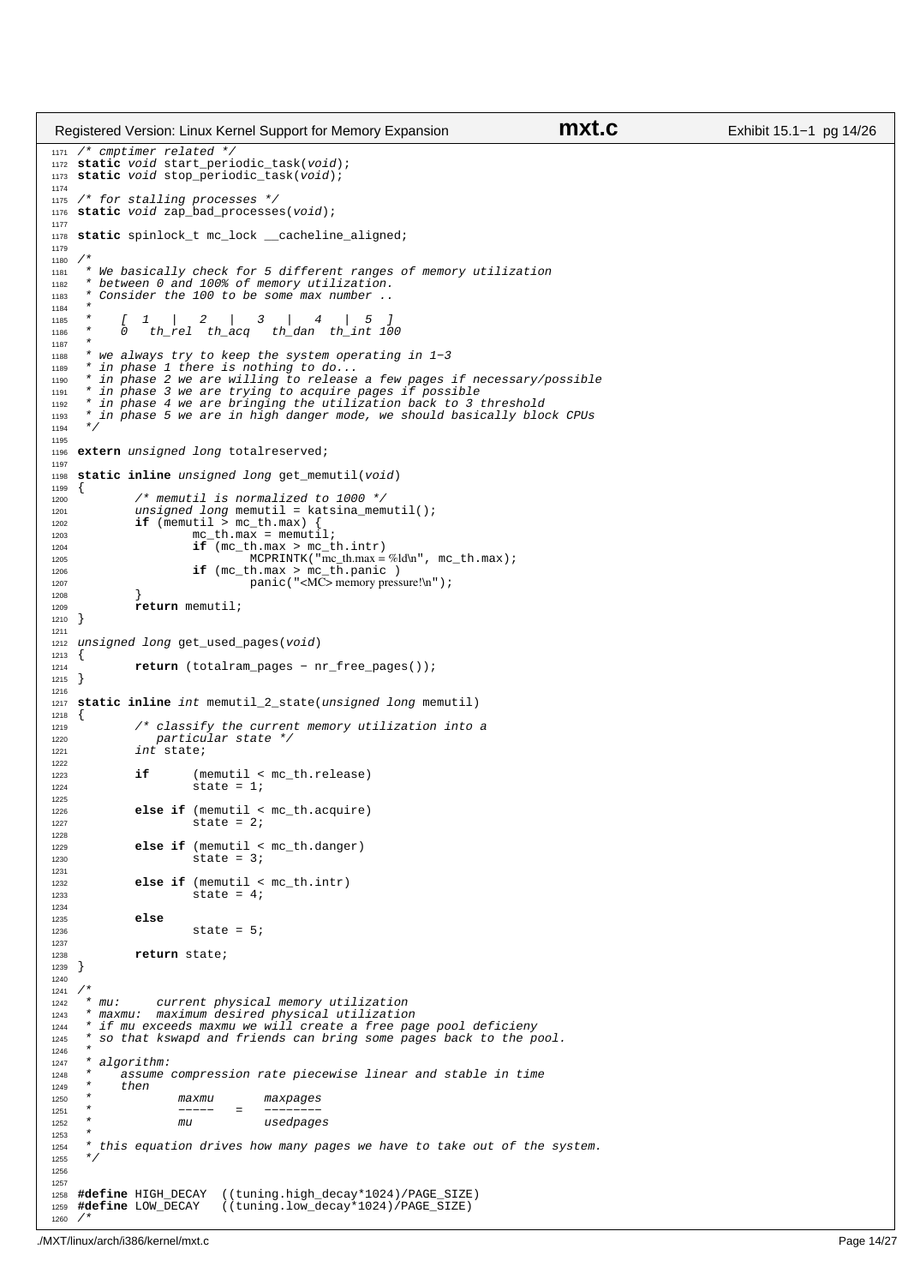```
1171 /* cmptimer related */
1172 static void start_periodic_task(void);
1173 static void stop_periodic_task(void);
1174
1175 /* for stalling processes */
1176 static void zap_bad_processes(void);
1177
1178 static spinlock_t mc_lock __cacheline_aligned;
1179
1180<br>1181
1181 * We basically check for 5 different ranges of memory utilization 
1182 * between 0 and 100% of memory utilization. 
1183 * Consider the 100 to be some max number
1184<br>1195
1185 * [ 1 | 2 | 3 | 4 | 5 ]
1186 * 0 th_rel th_acq th_dan th_int 100
1187
1188 * we always try to keep the system operating in 1−3
1189 * in phase 1 there is nothing to do...<br>1190 * in phase 2 we are willing to release
1190 * in phase 2 we are willing to release a few pages if necessary/possible
1191 * in phase 3 we are trying to acquire pages if possible
1192 * in phase 4 we are bringing the utilization back to 3 threshold
      * in phase 5 we are in high danger mode, we should basically block CPUs */1194
1195
1196 extern unsigned long totalreserved;
1197
1198 static inline unsigned long get_memutil(void)
1199 \{<br>1200\frac{1}{2} memutil is normalized to 1000 */
1201 \qquad \qquad \text{unsigned long~memutil = katsina\_memutil();<br>1202 \qquad \qquad \text{if } (\text{memutil} > \text{mc th.max}) {
               if (memutil > mc_th.max)
1203 mc\_th.max = memutil;<br>1204 if (mc th.max > mc t
1204 if \text{mc\_th.max} > \text{mc\_th.intr}<br>
1205 MCDRINTK ("me th max =
1205 MCPRINTK("mc_th.max = %ld\n", mc_th.max);<br>
1206 if (mc_th.max > mc_th.panic )<br>
1207 panic("<MC> memory pressure!\n");
1208 }
                memutil;
1210 }
1211
1212 unsigned long get_used_pages(void)
1213 \{<br>1214
               1214 return (totalram_pages − nr_free_pages());
1215 }
1216
1217 static inline int memutil_2_state(unsigned long memutil)
1218 \{<br>12191219 \frac{1}{2} /* classify the current memory utilization into a narticular state \frac{1}{2}1220 particular state */
1221 int state;
1222
1223 if (memutil < mc_th.release)<br>1224 if state = 1;
                         state = 1;1225
else if (memutil < mc_th.acquire)<br>1226 else if (memutil < mc_th.acquire)
                         state = 2;
1228
1229 else if (memutil < mc_th.danger)<br>1230 else if x = 3istate = 3;1231
1232 else if (memutil < mc_th.intr)<br>1233 else if (the state = 4;
                          state = 4;1234
1235 else
1236 57 541237
1238 return state;<br>1239 }
1239 }
1240
1241 *<br>1242 * mu:
1242 * mu: current physical memory utilization<br>1243 * maxmu: maximum desired physical utilization
1243 * maxmu: maximum desired physical utilization
        if mu exceeds maxmu we will create a free page pool deficieny
1245 * so that kswapd and friends can bring some pages back to the pool.
1246 *
1247 * algorithm:<br>1248 * assume
1248 * assume compression rate piecewise linear and stable in time
            then1250 * maxmu maxpages<br>1251 * --- = ---1251 * −−−−− = −−−−−−−
1252 * mu usedpages
1253<br>1254
        this equation drives how many pages we have to take out of the system.
1255 */
1256
1257
1258 #define HIGH_DECAY ((tuning.high_decay*1024)/PAGE_SIZE)
                               1259 #define LOW_DECAY ((tuning.low_decay*1024)/PAGE_SIZE)
1260 /*
Registered Version: Linux Kernel Support for Memory Expansion mxt.c Exhibit 15.1−1 pg 14/26
```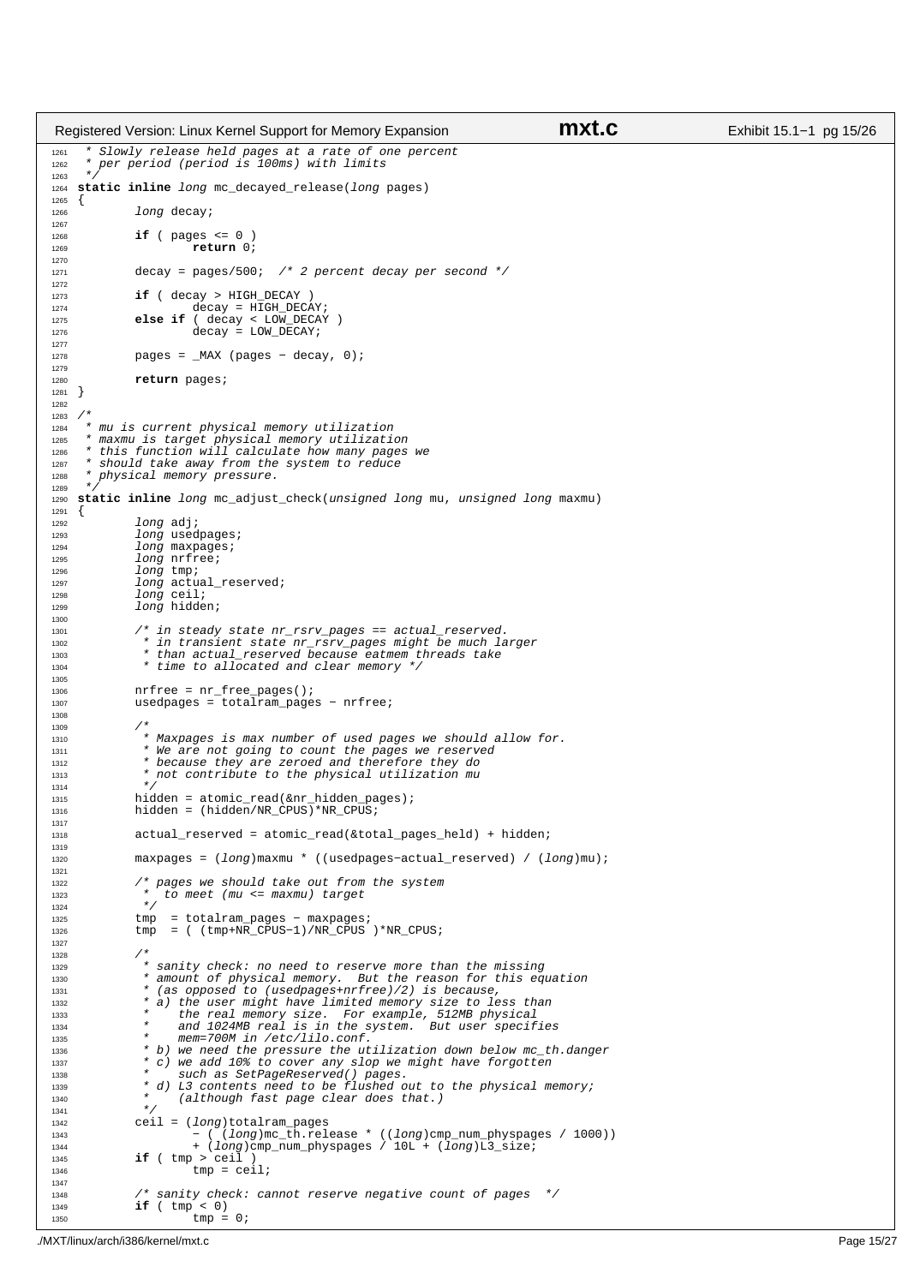```
1261 * Slowly release held pages at a rate of one percent
1262 * per period (period is 100ms) with limits
1263 */<br>1264 sta
    static inline long mc_decayed_release(long pages)
1265 \{<br>1266long decay;
1267
1268 if ( pages <= 0 )<br>1269 return 0;
                          \mathbf{r}eturn 0;
1270
1271 decay = pages/500; /* 2 percent decay per second */
1272
1273 if ( decay > HIGH_DECAY )
1274 \text{decay} = \text{HTGH} \text{DECAY};<br>1275 else if (decay < LOW DECAY)
1275 else if ( decay < LOW_DECAY )
1276 decay = LOW_DECAY;
1277
1278 pages = _MAX (pages - decay, 0);
1279
1280 return pages; 
1281 }
1282
1283 / *<br>1284 *
1284 * mu is current physical memory utilization
1285 * maxmu is target physical memory utilization
1286 * this function will calculate how many pages we
1287 * should take away from the system to reduce<br>1288 * physical memory pressure.
        physical memory pressure.
1289
1290 static inline long mc_adjust_check(unsigned long mu, unsigned long maxmu)
12911292 long adj;
1293 long usedpages;<br>1294 long maxpages;
1294 long maxpages;<br>1295 long priree;
1295 long nrfree;<br>1296 long tmp;
                10nq tmp;
1297 long actual_reserved;<br>1298 long ceil;
1298 long ceil;<br>
1299 long hidde
               long hidden;
1300
1301 /* in steady state nr_rsrv_pages == actual_reserved.
1302 * in transient state nr_rsrv_pages might be much larger
1303 * than actual_reserved because eatmem threads take<br>1304 * time to allocated and clear memory */* time to allocated and clear memory */1305
1306 nrfree = nr_free_pages();
1307 usedpages = totalram_pages − nrfree;
1308
1309 /*
1310 * Maxpages is max number of used pages we should allow for.
1311 * We are not going to count the pages we reserved 
1312 * because they are zeroed and therefore they do 
1313 * not contribute to the physical utilization mu 
1314<br>13151315 hidden = atomic_read(&nr_hidden_pages);
1316 hidden = (hidden/NR_CPUS)*NR_CPUS;
1317
1318 actual_reserved = atomic_read(&total_pages_held) + hidden;
1319
1320 maxpages = (long)maxmu * ((usedpages−actual_reserved) / (long)mu);
1321
....<br>1322 /* pages we should take out from the system<br>1323 * to meet (mu <= maxmu) target
1323 * to meet (mu <= maxmu) target */
1325 tmp = totalram_pages − maxpages; 
1326 tmp = ( (tmp+NR_CPUS−1)/NR_CPUS )*NR_CPUS;
1327
1328<br>1329
* sanity check: no need to reserve more than the missing<br>* amount of physical memory. But the reason for this equation<br>* (as opposed to (usedpages+nrfree)/2) is because,<br>* a) the user might have limited memory size to less
1333 * the real memory size. For example, 512MB physical
1334 * and 1024MB real is in the system. But user specifies 
1335 * mem=700M in /etc/lilo.conf.
1336 * b) we need the pressure the utilization down below mc_th.danger
1337 \star c) we add 10% to cover any slop we might have forgotten<br>
1338 \star such as SetPageReserved() pages.
1338 * such as SetPageReserved() pages.<br>1330 * d) L3 contents need to be flushed of
                 * d) L3 contents need to be flushed out to the physical memory;
1340 * (although fast page clear does that.)
13411342 ceil = (long) totalram_pages<br>- (long)mc th.rel
1343 − ( (long)mc_th.release * ((long)cmp_num_physpages / 1000))
1344 + (long)cmp_num_physpages / 10L + (long)L3_size;
1345 if ( tmp > ceil )
\tan \theta tmp = ceil;
1347
1348 /* sanity check: cannot reserve negative count of pages */<br>1349 if ( \text{tmp} < 0)
                if (tmp < 0)1350 tmp = 0;
Registered Version: Linux Kernel Support for Memory Expansion mxt.c Exhibit 15.1−1 pg 15/26
```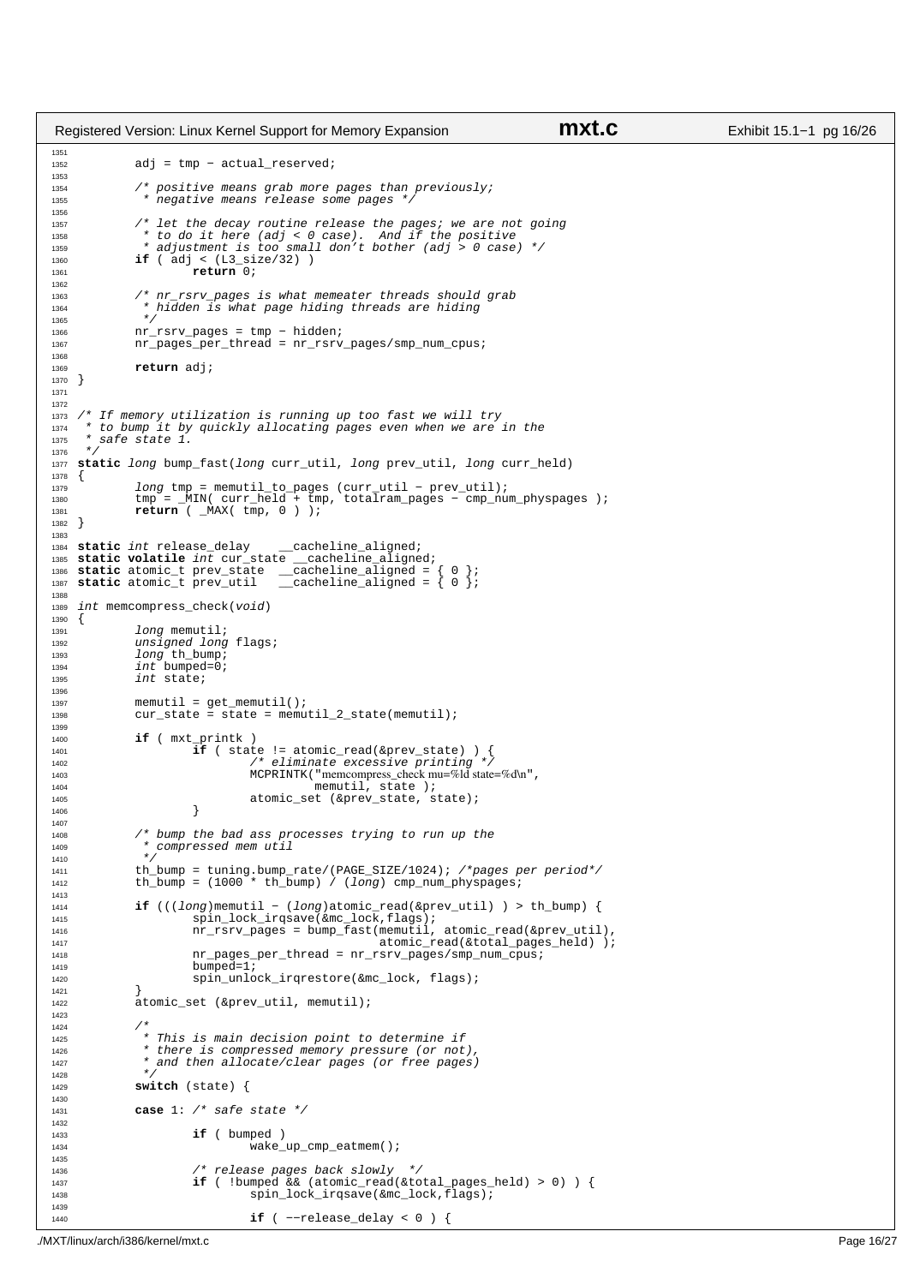```
1351
1352 adj = tmp − actual_reserved;
1353
1354 /* positive means grab more pages than previously;
1354 * regative means release some pages */
1356
1357 /* let the decay routine release the pages; we are not going 
1358 * to do it here (adj < 0 case). And if the positive 
1359 * adjustment is too small don't bother (adj > 0 case) */
1360 if ( adj < (L3\_size/32) )<br>
1361 if ( adj < b return 0;
                         return 0;
1362
1363 /* nr_rsrv_pages is what memeater threads should grab
1364 * hidden is what page hiding threads are hiding
1365 */
1366 nr_rsrv_pages = tmp − hidden;
1367 nr_pages_per_thread = nr_rsrv_pages/smp_num_cpus;
1368
1369 return adj;
1370 }
1371
1372
1373 /* If memory utilization is running up too fast we will try<br>1374 * to bump it by quickly allocating pages even when we are
1374 * to bump it by quickly allocating pages even when we are in the<br>1375 * safe state 1.
      * safe state 1.
1376
1377 static long bump fast(long curr util, long prev_util, long curr held)
1378 {
1379 long tmp = memutil_to_pages (curr_util − prev_util);
1380 tmp = _MIN( curr_held + tmp, totalram_pages − cmp_num_physpages );
1381 return ( _MAX( tmp, 0 ) );
1382 }
1383
1384 static int release_delay __cacheline_aligned;
1385 static volatile int cur_state __cacheline_aligned;
1386 static atomic_t prev_state __cacheline_aligned = { 0 }; 
1387 static atomic_t prev_util __cacheline_aligned = { 0 }; 
1388
1389 int memcompress_check(void)
1390 {
1391 long memutil;
1392 unsigned long flags;<br>1393 10ng th bump;
1393 long th_bump;<br>
1394 int bumped=0;
1394 int \text{ bumped=0};<br>1395 int \text{ state};int state;
1396
1397 memutil = get_memutil();<br>1398 cur state = state = memu
              cur\_state = \frac{1}{2} = state = memutil_2_state(memutil);
1399
1400 if ( mxt_printk )<br>1401 if ( state != atomic_read(&prev_state) ) {<br>1402 /* eliminate excessive printing */
1403 MCPRINTK("memcompress_check mu=%ld state=%d\n",<br>memutil, state);
1404 memutil, state );
1405 atomic_set (&prev_state, state);
1406 }
1407
1408 /* bump the bad ass processes trying to run up the 
1409 * compressed mem util 
1410 * /
1411 th_bump = tuning.bump_rate/(PAGE_SIZE/1024); /*pages per period*/
1412 th_bump = (1000 * th\_bump) / (long) cmp_num_physpages;
1413
              1414 if (((long)memutil − (long)atomic_read(&prev_util) ) > th_bump) {
1415 spin_lock_irqsave(&mc_lock,flags);
1416 nr_rsrv_pages = bump_fast(memutil, atomic_read(&prev_util),
1417 atomic_read(&total_pages_held) );<br>
1418 and the metric of thread = nr rsrv pages/smp num cpus;
1418 nr_pages_per_thread = nr_rsrv_pages/smp_num_cpus;<br>1419 humped=1;
1419 bumped=1;<br>1420 spin unlo
                         1420 spin_unlock_irqrestore(&mc_lock, flags);
1421 }
               {\rm atomic\_set} (&prev_util, memutil);
1423
1424
1425 * This is main decision point to determine if
1.26 * there is compressed memory pressure (or not),
1427 * and then allocate/clear pages (or free pages)
1428<br>14291429 switch (state) {
1430
1431 case 1: /* safe state */
1432
1433 if ( bumped )
                                    wake_up_cmp_eatmem();
1435
1436 /* release pages back slowly<br>1437 if ( !bumped && (atomic read)
1437 if ( !bumped && (atomic_read(&total_pages_held) > 0) ) {<br>1438 if ( !bumped && (atomic_read(&total_pages_held) > 0) ) {<br>1438 ignalized & (atomic_read(&total_pages_held) > 0) ) {
                                    spin_lock_irqsave(&mc_lock,flags);
1439
1440 if ( −−release_delay < 0 ) {
Registered Version: Linux Kernel Support for Memory Expansion mxt.c Exhibit 15.1−1 pg 16/26
```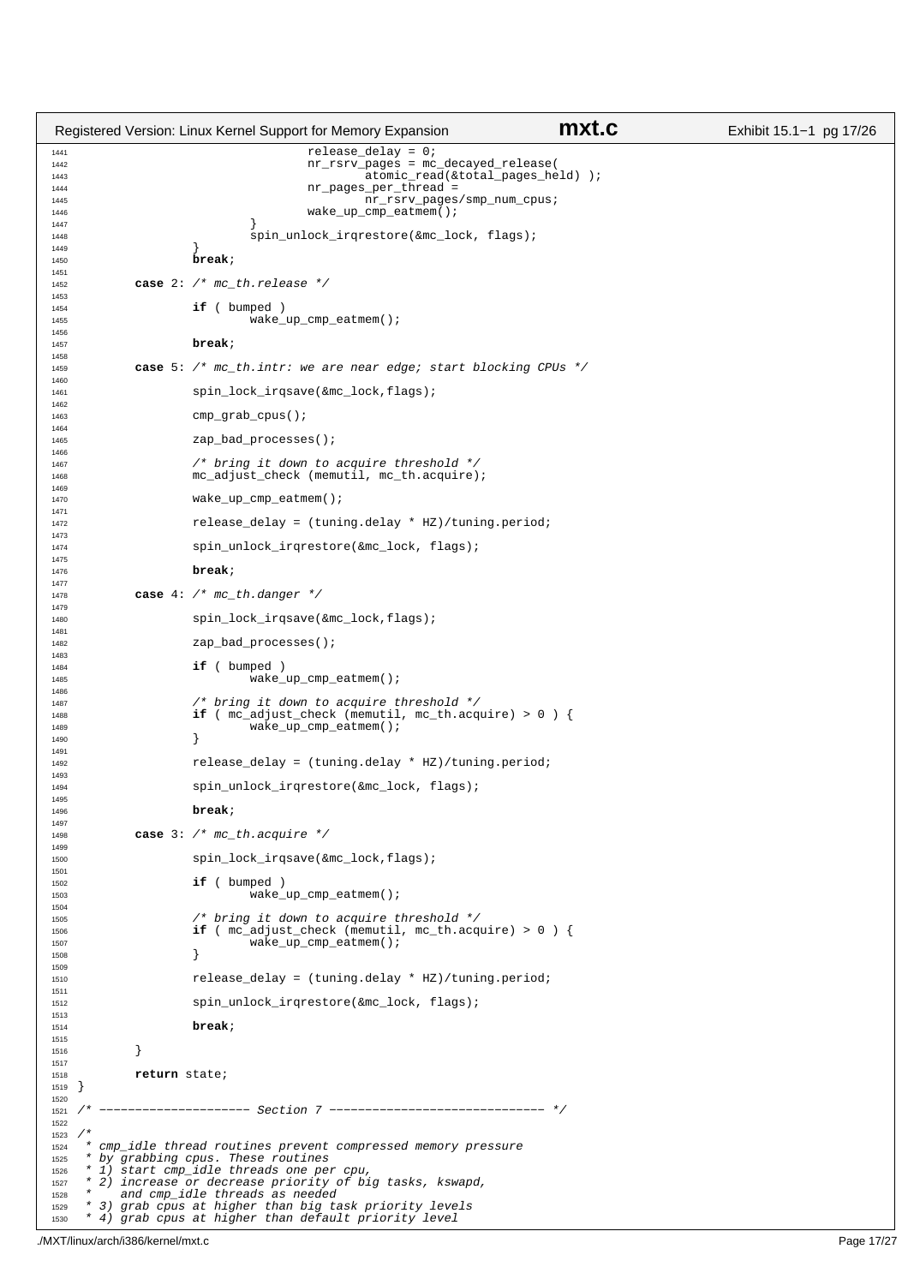```
1441 release_delay = 0;
1442 nr_rsrv_pages = mc_decayed_release( 
1143<br>
1444<br>
1444<br>
1444<br>
1444<br>
1444<br>
1444<br>
1444<br>
1444<br>
1445<br>
2010 Compages_per_thread =
1444 1445 1142 nr_pages_per_thread =
1445 \text{nr\_rsrv\_pages/smp\_num\_cpus};<br>1446 1148
                                    wake_up_cmp_eatmem();
1447 }
1448 spin_unlock_irqrestore(&mc_lock, flags);<br>
1449 > {
1449 }
1450 break;
1451
1452 case 2: /* mc_th.release */
1453
1454 if ( bumped ) \frac{1}{2}wake_up_cmp_eatmem();
1456
1457 break;
1458<br>1459
           1459 case 5: /* mc_th.intr: we are near edge; start blocking CPUs */
1460
1461 spin_lock_irqsave(&mc_lock,flags);
1462
1463 cmp_grab_cpus();
1464
1465 zap_bad_processes();
1466
1467 /* bring it down to acquire threshold */<br>1468 mc_adjust_check (memutil, mc_th.acquire)
                   mc_adjust_check (memutil, mc_th.acquire);
1469
1470 wake up cmp eatmem();
1471
                   release\_delay = (tuning.delay * HZ)/tuning.period;1473
                   spin_unlock_irqrestore(&mc_lock, flags);
1475
1476 break;
1477
1478 case 4: /* mc_th.danger */
1479
1480 spin_lock_irqsave(&mc_lock,flags);
1481
1482 zap_bad_processes();
1483
1484 if ( bumped )<br>1485 wake
                            wake_up_cmp_eatmem();
1486
1487 /* bring it down to acquire threshold */<br>1488 if (me adjust check (memutil, me th.acq
1488 if (mc\_adjust\_check (mc\_multil, mc\_th.acquire) > 0 ) {
1489 wake_up_cmp_eatmem();<br>1490 }
1490 }
1491
1492 release_delay = (tuning.delay * HZ)/tuning.period;
1493
1494 spin_unlock_irqrestore(&mc_lock, flags);
1495
1496 break;
1497
1498 case 3: /* mc_th.acquire */
1499
1500 spin_lock_irqsave(&mc_lock,flags);
1501
1502 if ( bumped )
                            wake_up_cmp_eatmem();
1504
1505 /* bring it down to acquire threshold */
1506 if ( mc_adjust_check (memutil, mc_th.acquire) > 0 ) {
1507 wake_up_cmp_eatmem();
\left\{\right. \right\}1509
1510 release_delay = (tuning.delay * HZ)/tuning.period;
1511
1512 spin_unlock_irqrestore(&mc_lock, flags);
1513
1514 break;
1515
1516 }
1517
1518 return state;<br>1519 }
1519 }
1520<br>1521 /*
           1521 /* −−−−−−−−−−−−−−−−−−−−− Section 7 −−−−−−−−−−−−−−−−−−−−−−−−−−−−−− */
1522
1523 / *<br>1524 * *1524 * cmp_idle thread routines prevent compressed memory pressure<br>1525 * by grabbing cpus. These routines
1525 * by grabbing cpus. These routines
1526 * 1) start cmp_idle threads one per cpu, 
1527 * 2) increase or decrease priority of big tasks, kswapd, 
1528 * and cmp_idle threads as needed<br>1529 * 3) grab cmus at higher than big to
      3) grab cpus at higher than big task priority levels
1530 * 4) grab cpus at higher than default priority level
Registered Version: Linux Kernel Support for Memory Expansion mxt.c Exhibit 15.1−1 pg 17/26
```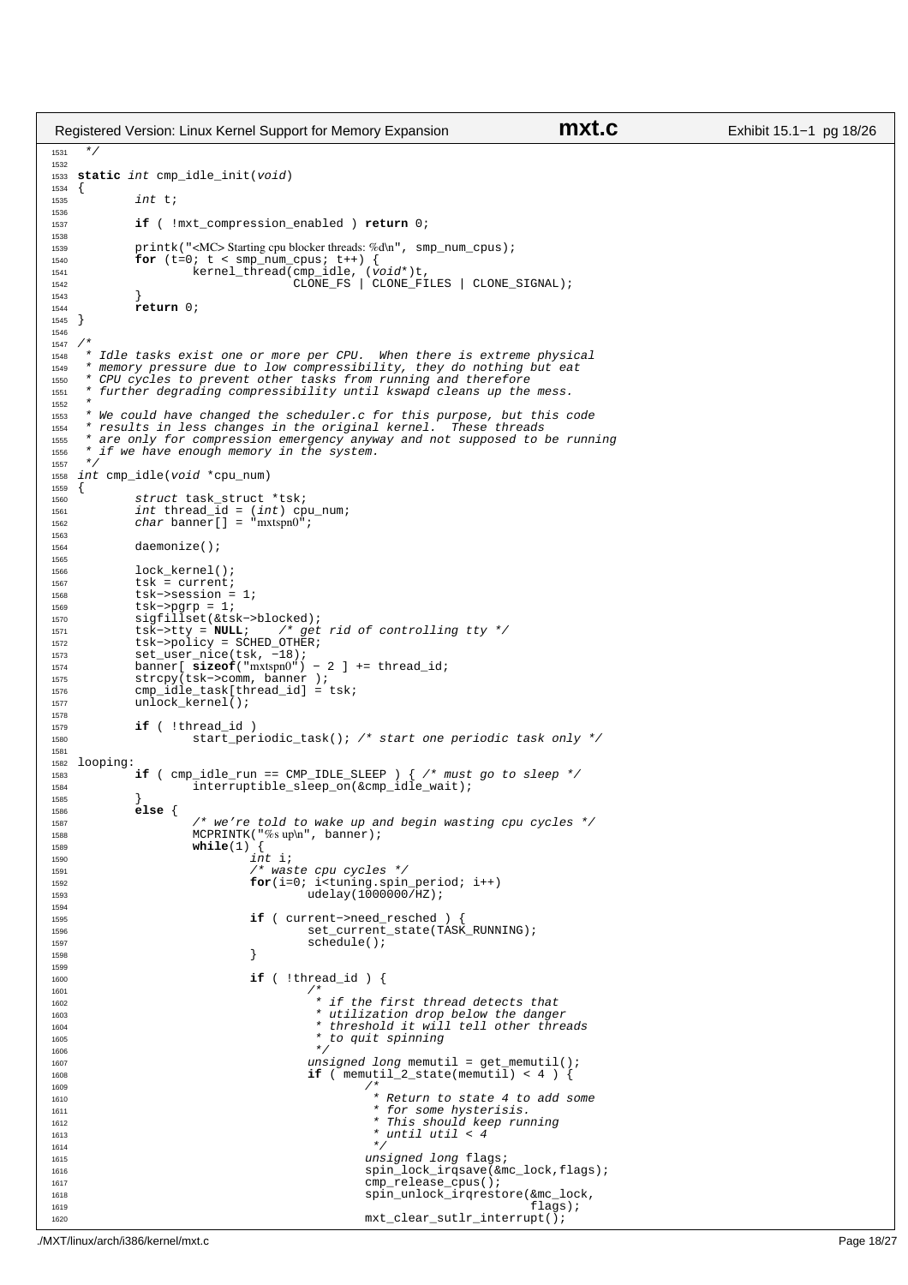```
Registered Version: Linux Kernel Support for Memory Expansion mxt.c Exhibit 15.1−1 pg 18/26
```

```
1531 */
1532
1533 static int cmp_idle_init(void)
1534 {
1535 int t;
1536
1537 if ( !mxt_compression_enabled ) return 0;
1538
1539 printk("<MC>Starting cpu blocker threads: %d\n", smp_num_cpus);<br>1540 for (t=0; t \leq smp num cpus; t+1 {
1540 for (t=0; t < smp_namecpus; t++) {<br>
1541 kernel_thread(cmp_idle, (void*)t,<br>
1542 CLONE_SIGNAL); CLONE_FS | CLONE_FILES | CLONE_SIGNAL);
1543 }
               return 0;
1545 }
1546
1547 /<sup>1548</sup> * Idle tasks exist one or more per CPU. When there is extreme physical<br><sup>1549</sup> * memory pressure due to low compressibility, they do nothing but eat
<sup>*</sup> memory pressure due to low compressibility, they do nothing but eat<br><sup>*</sup> CPU cycles to prevent other tasks from running and therefore
1550 * CPU cycles to prevent other tasks from running and therefore 
1551 * further degrading compressibility until kswapd cleans up the mess.
1552<br>1553
1553 * We could have changed the scheduler.c for this purpose, but this code
1554 * results in less changes in the original kernel.<br>1555 * are only for compression emergency anyway and no
      * are only for compression emergency anyway and not supposed to be running
1556 * if we have enough memory in the system.
1557
1558 int cmp_idle(void *cpu_num)
1559 \{<br>15601560 struct task_struct *tsk;
1561 int thread_id = (int) cpu_num;
1562 char banner[] = "mxtspn0"; 
1563<br>1564
               daemonize();
1565
1566 lock_kernel();
1567 tsk = current;<br>1568 tsk->session =
1568 tsk->session = 1;<br>1569 tsk->pgrp = 1;
1569 tsk−>pgrp = 1;<br>1570 sigfillset(&ts
               sigfillset(&tsk->blocked);
1571 tsk−>tty = NULL; /* get rid of controlling tty */
1572 tsk−>policy = SCHED_OTHER;<br>1573 set_user_nice(tsk, -18);
1573 set_user_nice(tsk, -18);<br>1574 banner[sizeof("mxtspn0")
1574 banner[ sizeof("mxtspn0") − 2 ] += thread_id;
1575 strcpy(tsk−>comm, banner );
1576 cmp_idle_task[thread_id] = tsk;
1577 unlock_kernel();
1578<br>1579
1579 if (!thread_id)<br>1580 if start per
                          start_periodic_task(); /* start one periodic task only */
1581
1582 looping:
1583 if ( cmp_idle_run == CMP_IDLE_SLEEP ) { /* must go to sleep */
                          \overline{\text{interruptible\_sleep\_on}}(&cmp_idle_wait);
1585 }
1586 else {
1587 \frac{1}{1588} /* we're told to wake up and begin wasting cpu cycles */<br>1588 MCPRINTK("%suph", banner);
1588 MCPRINTK("%s up\n', banner);<br>
m\text{file}(1) {
1589 while(1)
                                     int i;
1591 /* waste cpu cycles */
1592 for(i=0; i<tuning.spin_period; i++)
1593 udelay(1000000/HZ);
1594
1595 if ( current−>need_resched ) {
1596 set_current_state(TASK_RUNNING);
1597 schedule();<br>
1598 }
\left.\rule{0cm}{0.7cm}\right\}1599
1600 if ( !thread_id ) {
1601 4^*\begin{array}{ccc}\n1601 \\
1602\n\end{array}<br>
1602 \begin{array}{ccc}\n1602 \\
1603\n\end{array} + if the first thread detects that<br>
\begin{array}{ccc}\n1603\n\end{array} + utilization drop below the dange.
1603 * utilization drop below the danger 
1604 * threshold it will tell other threads
<sup>1605</sup> * to quit spinning * to the spinning * to the spinning * to the spinning * to the spinning * to the spinning * to the spinning * to the spinning * to the spinning * to the spinning * to the sp
1606 * /
1607 unsigned long memutil = get_memutil();
1608 if ( memutil_2_state(memutil) < 4 ) {
1609 4*1600<br>
1610 * Return to state 4 to add some<br>
* for some hysterisis.
                                                           * for some hysterisis.
1612 * This should keep running * \frac{1}{101} \frac{1}{101} \frac{1}{101} \frac{1}{101} \frac{1}{101} \frac{1}{101} \frac{1}{101} \frac{1}{101} \frac{1}{101} \frac{1}{101} \frac{1}{101} \frac{1}{101} \frac{1}{101} \frac{1}{101} \frac{1}{101} \frac1612 * until util < 4<br>1613 * /
1614 */
1615 unsigned long flags;
1616<br>1616 spin_lock_irqsave(&mc_lock,flags);<br>2010 cmp release cpus();
1617 cmp_release_cpus();<br>1618 spin_unlock_irgrest
1618 spin_unlock_irqrestore(\text{km} = \text{km} = \text{km} = \text{km} = \text{m} = \text{km} = \text{m} = \text{m} = \text{m} = \text{m} = \text{m} = \text{m} = \text{m} = \text{m} = \text{m} = \text{m} = \text{m} = \text{m} = \text{m} = \text{1619 flags);
1620 mxt_clear_sutlr_interrupt();
```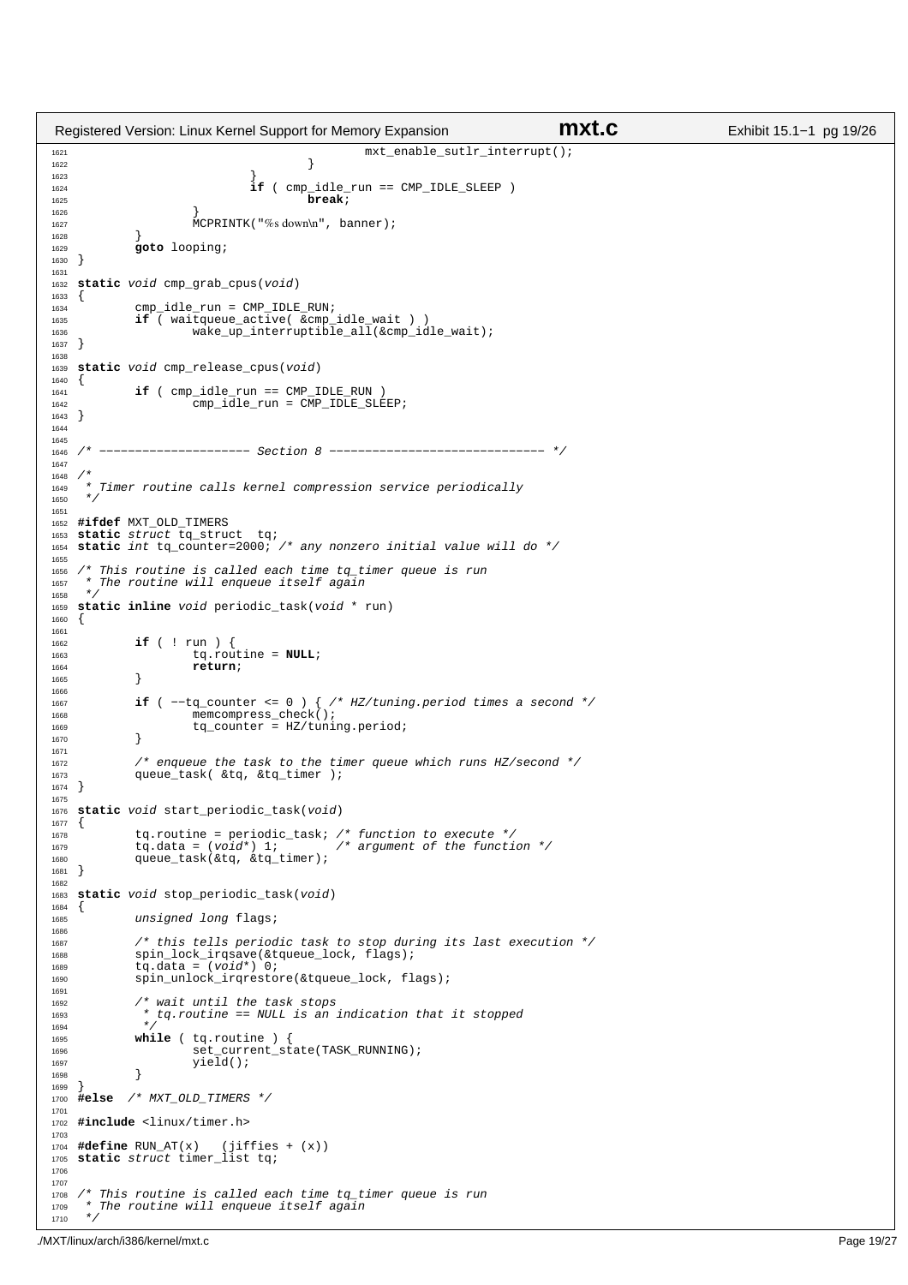```
1621 mxt_enable_sutlr_interrupt();<br>1622
\{1622 \}\left\{ \right\}1624 if ( cmp_idle_run == CMP_IDLE_SLEEP )<br>1625 break i
1625 break;
\left\{\n \begin{array}{ccc}\n 1626 & & \\
 \end{array}\n \right\}1627 MCPRINTK("%s down\n", banner);
1628 }
   1629 goto looping;
1630 }
1631
1632 static void cmp_grab_cpus(void)
1633 {
1634 cmp_idle_run = CMP_IDLE_RUN;
1635 if ( waitqueue_active( &cmp_idle_wait ) )
1636 wake_up_interruptible_all(\& comp\_idle\_wait);
1637 }
1638
1639 static void cmp_release_cpus(void)
1640 {<br>1641if ( cmp\_idle\_run == CMP\_IDLE\_RUN )
1642 cmp_idle_run = CMP_IDLE_SLEEP;
1643 }
1644
1645
1646 /* −−−−−−−−−−−−−−−−−−−−− Section 8 −−−−−−−−−−−−−−−−−−−−−−−−−−−−−− */
1647
1648 /*1649 * Timer routine calls kernel compression service periodically
1650
1651
1652 #ifdef MXT_OLD_TIMERS
1653 static struct tq_struct tq; 
1654 static int tq_counter=2000; /* any nonzero initial value will do */
1655
1656 /* This routine is called each time tq_timer queue is run
1657 * The routine will enqueue itself again 1658 */
1657<br>1658 */<br>1659 Sta
   static inline void periodic_task(void * run)
1660 {
1661
1662 if ( ! run ) {<br>1663 if ( : run ) {
1663 tq.routine = NULL;<br>1664 return;
             1664 return;
1665 }
1666
1667 if ( −−tq_counter <= 0 ) { /* HZ/tuning.period times a second */
1668 memcompress_check();<br>\frac{1668}{166} + \alpha counter = H7/tuni
             tq_counter = HZ/tuning.period;
1670 }
1671
1672 /* enqueue the task to the timer queue which runs HZ/second */<br>1673 001 01 012 and the top of the timer i;
             queue_task( &tq, &tq_timer );
1674 }
1675
1676 static void start_periodic_task(void)
1677 \{1678 tq.routine = periodic_task; /* function to execute */
1679 tq.data = (void*) 1; /* argument of the function */
1679 t\ddot{q}.data = (void*) 1;<br>
1680 queue_task(&tq, &tq_timer);
1681 }
1682
1683 static void stop_periodic_task(void)
1684 {
1685 unsigned long flags;
1686
1687 \frac{1}{1688} /* this tells periodic task to stop during its last execution */<br>1688 spin lock irgsave(&tqueue lock, flags);
1688 spin_lock_irqsave(&tqueue_lock, flags);
1689 tq.data = (void*) 0; 
1690 spin_unlock_irqrestore(&tqueue_lock, flags);
1691
1692 /* wait until the task stops<br>1693 * ta.routine == NULL is an
              * tq.routine == NULL is an indication that it stopped */
1694
1695 while ( tq.routine ) {<br>1696 set_current_state(TASK_RUNNING);
1697 \text{yield}();
1698 }
1699 }
1700 #else /* MXT_OLD_TIMERS */
1701
1702 #include <linux/timer.h>
1703
1704 #define RUN_AT(x) (jiffies + (x))
1705 static struct timer_list tq;
1706
1707
1708 /* This routine is called each time tq_timer queue is run<br>1709 * The routine will enqueue itself again
       The routine will enqueue itself again
1710 + 7Registered Version: Linux Kernel Support for Memory Expansion mxt.c Exhibit 15.1−1 pg 19/26
```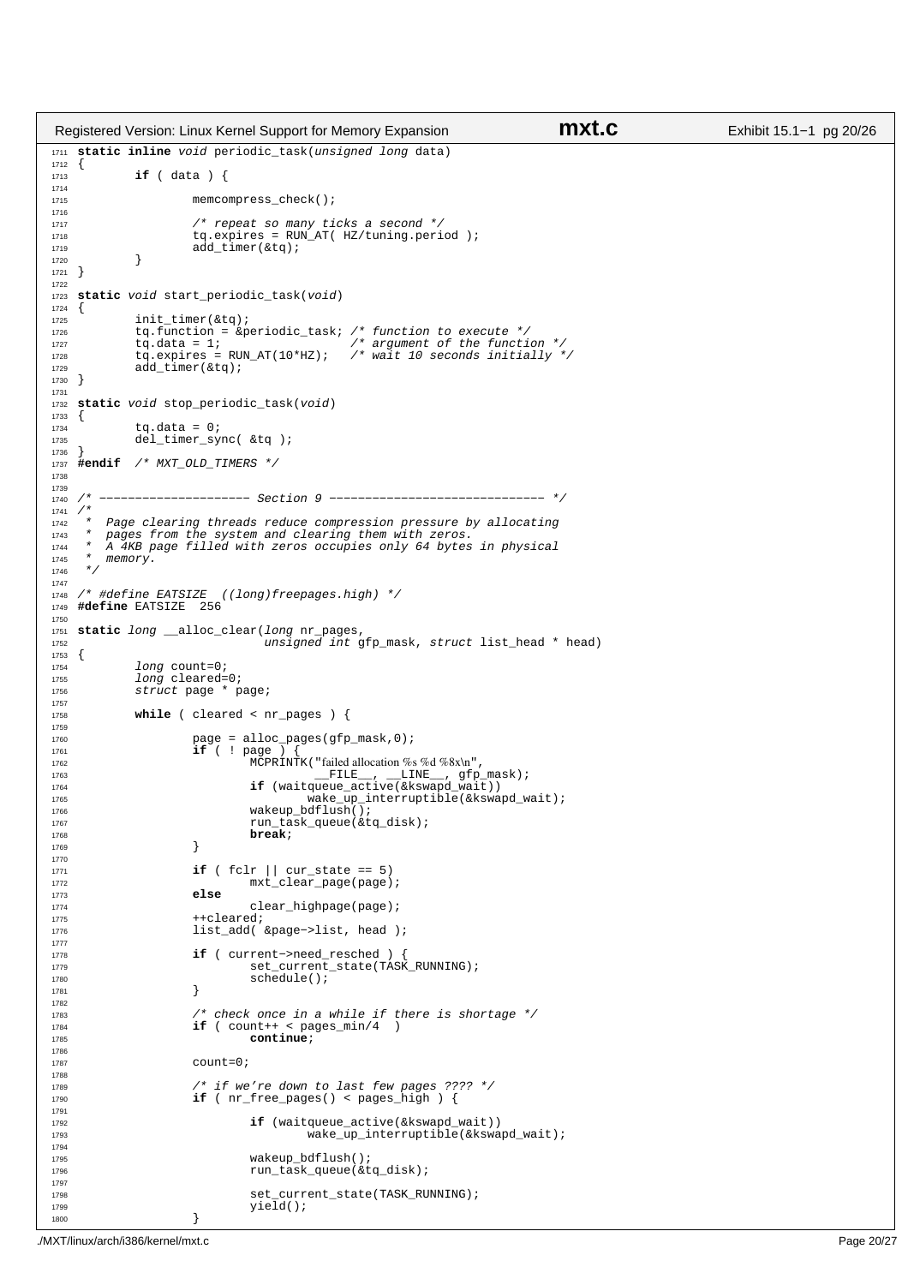```
1711 static inline void periodic_task(unsigned long data)
1712 {
            if ( data )1714
1715 memcompress_check();
1716
1717 /* repeat so many ticks a second */
1718 tq.expires = RUN_AT( HZ/tuning.period );
1719 \overrightarrow{add\_timer(ktq)};
1720 }
1721 }
1722
1723 static void start_periodic_task(void)
1724 \{<br>1725
            init_timer(&tg);
1726 tq.function = &periodic_task; /* function to execute */
1727 tq.data = 1; /* argument of the function */
1728 tq.expires = RUN_AT(10*HZ); \frac{1}{2} wait 10 seconds initially */<br>1729 add timer(&tq);
            add_timer(\&tq);1730 }
1731
1732 static void stop_periodic_task(void)
\begin{matrix} 1733 \\ 1734 \end{matrix}1734 tq.data = 0;<br>1735 del timer svi
            del_timer_sync( &tq );
1736 }
1737 #endif /* MXT OLD TIMERS */
1738
1739
1740 /* −−−−−−−−−−−−−−−−−−−−− Section 9 −−−−−−−−−−−−−−−−−−−−−−−−−−−−−− */
1741 /*<br>1742 *
1742 * Page clearing threads reduce compression pressure by allocating 1743 * pages from the system and clearing them with zeros.
1743 * pages from the system and clearing them with zeros.<br>1744 * A 4KB page filled with zeros occupies only 64 bytes
1744 * A 4KB page filled with zeros occupies only 64 bytes in physical 1745 * memory.
        memory.
1746
1747
1748 /* #define EATSIZE ((long)freepages.high) */<br>1749 #define EATSIZE 256
   1749 #define EATSIZE 256
1750
1751 static long __alloc_clear(long nr_pages,
1752 unsigned int gfp_mask, struct list_head * head)
\begin{matrix} 1753 \\ 1754 \end{matrix}1754 long count=0;<br>1755 long cleared=
1755 long cleared=0;
1756 struct page * page;
1757
1758 while ( cleared < nr_pages ) {
1759
1760 page = alloc_pages(gfp_mask,0);
1761 if ( ! page ) {
1762<br>1762 MCPRINTK("failed allocation %s %d %8x\n",<br>1763 FILE, LINE, \sigma for
1763 <br>
if (waitqueue_active(&kswapd_wait))<br>
if (waitqueue_active(&kswapd_wait))
1764 if (waitqueue_active(&kswapd_wait))<br>wake up interruptible(&kswap
1765 wake_up_interruptible(&kswapd_wait);<br>1766 wakeup_bdflush();
1767 run_task_queue(&tq_disk);<br>
break;
1768 break;<br>1769 }
1769 }
1770
1771 if ( fclr || cur_state == 5)
1772 mxt_clear_page(page);<br>1773 else
1773 else
                              clear_highpage(page);
1775 ++cleared;
1776 list add( &page−>list, head );
1777
1778 if ( current−>need_resched ) {<br>1779 set current state(TASK
1779 set_current_state(TASK_RUNNING);<br>schedule();<br>schedule();
                      schedule();<br>}
1781 }
1782
1783 /* check once in a while if there is shortage \star/<br>1784 if (count++ < pages min/4)
                      if ( count++ < pages\_min/4 )
1785 continue;
1786
1787 count=0;
1788
1789 /* if we're down to last few pages ???? */
1790 if ( nr\_free\_pages() < pages_high ) {
1791
1792 if (waitqueue_active(&kswapd_wait))<br>
1793 wake up interruptible(&kswa
                                        \bar{u} wake_up_interruptible(&kswapd_wait);
1794
1795 wakeup bdflush();
1796 run_task_queue(&tq_disk);
1797
1798 set_current_state(TASK_RUNNING);<br>
vield();
                               yield();
\{1800\}Registered Version: Linux Kernel Support for Memory Expansion mxt.c Exhibit 15.1−1 pg 20/26
```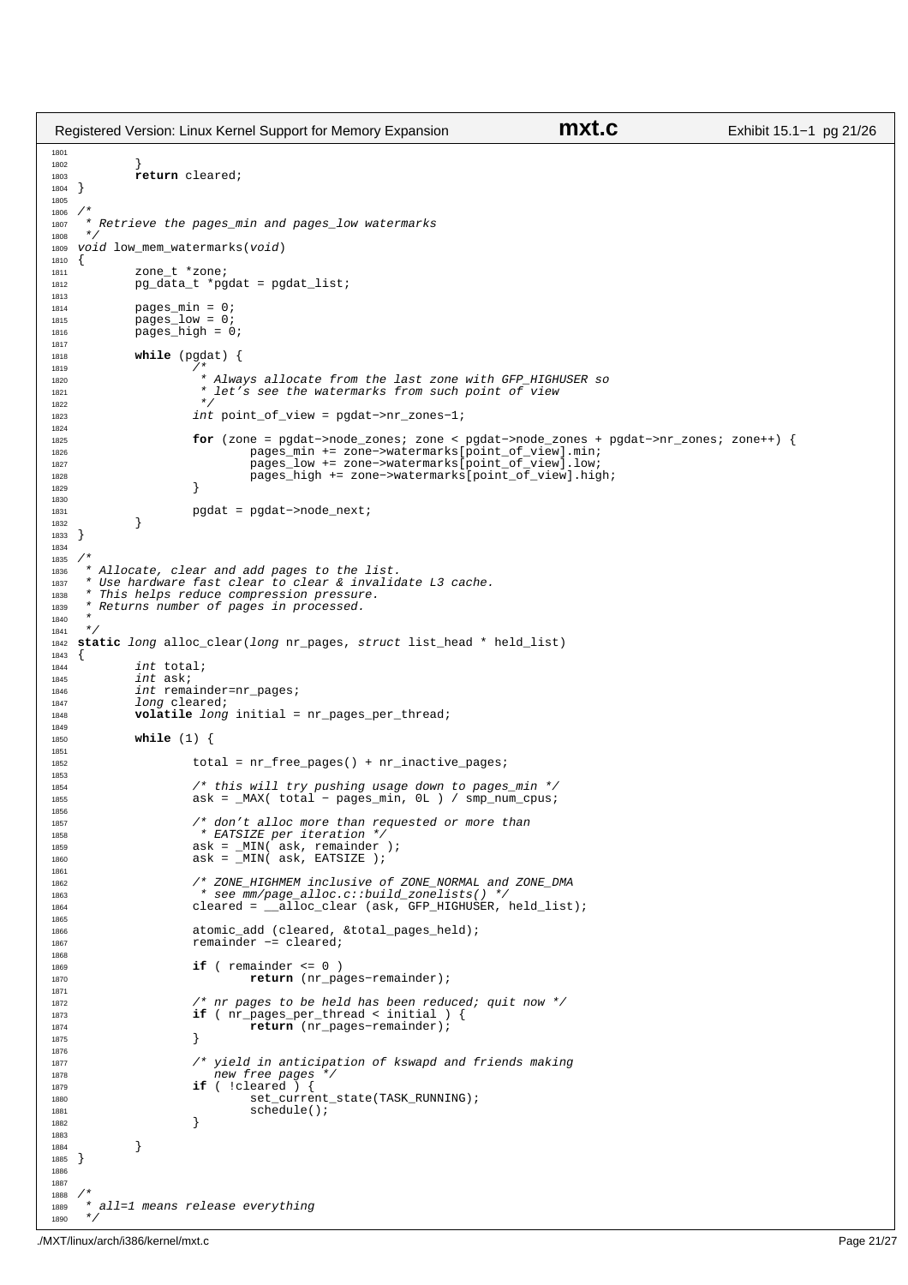```
1801
1802 }
1803 return cleared;
1804 }
1805
1806 /*<br>1807 *
1807 * Retrieve the pages_min and pages_low watermarks
1808<br>1809
     void low_mean_waternarks(void)1810 {
                 zone_t *zone;
1812 pg_data_t *pgdat = pgdat_list;
1813
1814 \n  pages\_min = 0;<br>
1915 = 0;<br>
1915 = 0;pages_low = 0;
1816 pages_high = 0;
1817
1818 while (pgdat) {
1819<br>1820
1820 * Always allocate from the last zone with GFP_HIGHUSER so
1821 * let's see the watermarks from such point of view
1822 * /
1823 int point_of_view = pgdat−>nr_zones−1;
1824
1825 for (zone = pgdat−>node_zones; zone < pgdat−>node_zones + pgdat−>nr_zones; zone++) {
1826 pages_min += zone−>watermarks[point_of_view].min;
1827 pages_low += zone−>watermarks[point_of_view].low;
1828 pages_high += zone−>watermarks[point_of_view].high;<br>
1829 }
\left\{\n \begin{array}{ccc}\n 1829 & & \\
 \end{array}\n \right\}1830
1831 pgdat = pgdat−>node_next;
\begin{array}{c} 1832 \\ 1833 \end{array}1833 }
1834
1835 / *<br>1836 * *1836 * Allocate, clear and add pages to the list.
1837 * Use hardware fast clear to clear & invalidate L3 cache. 
1838 * This helps reduce compression pressure.<br>1838 * This helps reduce compression pressure.<br>1839 * Returns number of pages in processed.
         Returns number of pages in processed.
1840 *
1841
1842 static long alloc_clear(long nr_pages, struct list_head * held_list)
1843 \{<br>1844
1844 int total;<br>1845 int ask;
                  int ask;
1846 int remainder=nr_pages;<br>1847 10ng cleared;
1847 1847 10ng cleared;<br>1848 1848 1849 1952
                 volatile long initial = nr_pages_per_thread;
1849
1850 while (1) {
1851
1852 total = nr free pages() + nr inactive pages;
1853
1854 /* this will try pushing usage down to pages_min */
1855 ask = _MAX( total − pages_min, 0L ) / smp_num_cpus;
1856
1857 /* don't alloc more than requested or more than<br>1858 /* EATSIZE per iteration */
1858 * EATSIZE per iteration */
1859 ask = _MIN( ask, remainder );
1860 ask = _MIN( ask, EATSIZE );
1861
1862 /* ZONE_HIGHMEM inclusive of ZONE_NORMAL and ZONE_DMA
1863 * see mm/page_alloc.c::build_zonelists() */
1864 cleared = __alloc_clear (ask, GFP_HIGHUSER, held_list);
1865
1866 atomic_add (cleared, &total_pages_held);
                              1867 remainder −= cleared;
1868
1869 if (remainder \leq 0)<br>1870 return (nr pa
                                          1870 return (nr_pages−remainder);
1871
1872 \frac{1}{\sqrt{t}} nr pages to be held has been reduced; quit now \frac{t}{t} (nr pages per thread < initial ) {
1873 if ( \overline{n_{\text{pages\_per\_thread}}}\leftarrow \overline{n_{\text{values}}}\leftarrow \overline{n_{\text{new}}}\leftarrow \overline{n_{\text{new}}}\leftarrow \overline{n_{\text{new}}}\leftarrow \overline{n_{\text{new}}}\leftarrow \overline{n_{\text{new}}}\leftarrow \overline{n_{\text{new}}}\leftarrow \overline{n_{\text{new}}}\leftarrow \overline{n_{\text{new}}}\leftarrow \overline{n_{\text{new}}}\leftarrow \overline{n_{\text{new}}}\leftarrow \overline{n_{\text{new}}}\leftarrow \overline{n_{\text{new}}}\leftarrow \overline{n_{\text{new}}}\leftarrow \overline{n_{\text{new}}1874 return (nr_pages-remainder);
\left\{\right. \right\}1876
1877 \frac{1}{2} /* yield in anticipation of kswapd and friends making<br>1878 \frac{1}{2} new free pages */
1878 new free pages */<br>1879 if (Icleared ) {
                              if ( !cleared ) {
1880 set_current_state(TASK_RUNNING);<br>1881 schedule();
                              \begin{array}{c} \texttt{scale} \\ \texttt{schedule}(\ ) \end{array} ;1882 }
1883
\begin{array}{c} 1884 \\ 1885 \end{array}1885 }
1886
1887
1888<br>1889
      * all=1 means release everything
Registered Version: Linux Kernel Support for Memory Expansion mxt.c Exhibit 15.1−1 pg 21/26
```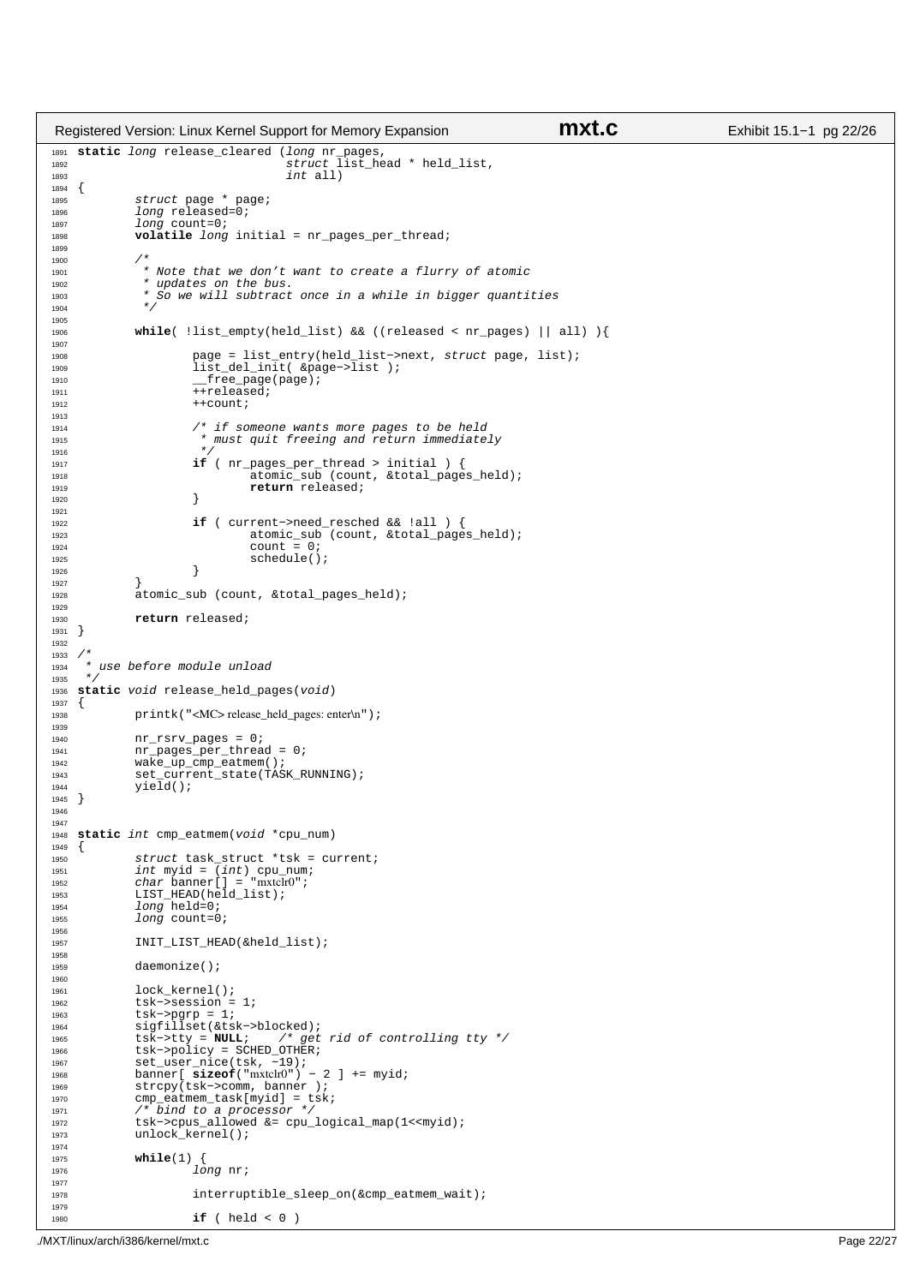```
1891 static long release_cleared (long nr_pages,<br>
struct list_head * held_list,<br>
int all)
1894 {<br>1895
1895 struct page * page;
1896 long released=0;
1897 long count=0;<br>1898 volatile longvolatile long initial = nr_pages_per_thread;
1899
1900<br>1901
              * Note that we don't want to create a flurry of atomic
1902 * updates on the bus.<br>1903 * So we will subtract
               * So we will subtract once in a while in bigger quantities<br>* /
1904
1905
1906 while( !list_empty(held_list) && ((released < nr_pages) || all) ){
1907
1908 page = list_entry(held_list−>next, struct page, list);
1909 list_del_init( &page−>list );
1910 __free_page(page);
                       +released;
1912 ++count;
1913
1914 f * if someone wants more pages to be held<br>f * m ist quit freeing and return immediate
                        * must quit freeing and return immediately
1916 * /
1917 if ( nr\_pages\_per\_thread > initial ) {<br>1918 if atomic_sub (count, & total_page
                                atomic_sub (count, &total_pages_held);
1919 return released;
1920 }
1921
1922 if ( current−>need_resched && !all ) {
1923 atomic_sub (count, \&\text{total\_pages\_held});<br>
\text{count} = 0;1924 count = 0;<br>
1925 schedule()
1925 schedule();<br>1926 }
1926 }
1927 }
              atomic_sub (count, &total_pages_held);
1929
1930 return released;
1931 }
1932
1933<br>1934
    \begin{array}{l} \ast \atop \ast \end{array} use before module unload
1935
1936 static void release_held_pages(void)
\begin{matrix} 1937 \\ 1938 \end{matrix}printk("<MC>release_held_pages: enter\n");
1030
1940 nr\_rsrv\_pages = 0;1941 nr pages\_per\_three = 0;1942 wake_up_cmp_eatmem();<br>
942 wake_up_cmp_eatmem();<br>
943 set current state(TAS
             set_current_state(TASK_RUNNING);
1944 yield();
1945 }
1946
1947
1948 static int cmp_eatmem(void *cpu_num)
1949 {
1950 struct task_struct *tsk = current;
1951 int myid = (int) cpu_num;
1952 char banner[] = "mxtclr0"; 
1953 LIST_HEAD(held_list);<br>1954 10ng held=0;
              long held=0;
1955 long count=0;
1956
1957 INIT_LIST_HEAD(&held_list);
1958
1959 daemonize();
1960
1961 lock_kernel();<br>
1962 tsk->session =
1962 tsk->session = 1;<br>
1963 tsk->pqrp = 1;
1963 tsk−>pgrp = 1;<br>1964 sigfillset(&ts
             sigfillset(&tsk->blocked);
1965 tsk−>tty = NULL; /* get rid of controlling tty */
1966 tsk−>policy = SCHED_OTHER;
1967 set_user_nice(tsk, -19);<br>1968 banner[ sizeof("mxtclr0") -
1968 banner [ sizeof("mxtclr0") − 2 ] += myid;<br>1969 strcpy(tsk->comm banner);
             strcpy(tsk->comm, banner );
1970 cmp_eatmem_task[myid] = tsk;
1971 /* bind to a processor */
1972 tsk−>cpus_allowed &= cpu_logical_map(1<<myid);<br>
1973 unlock kernel();
             unlock_kernel();
1974
1975 while(1) {
1976 long nr;
1977
1978 interruptible_sleep_on(&cmp_eatmem_wait);
1979
1980 if ( held < 0 ) 
Registered Version: Linux Kernel Support for Memory Expansion mxt.c Exhibit 15.1−1 pg 22/26
```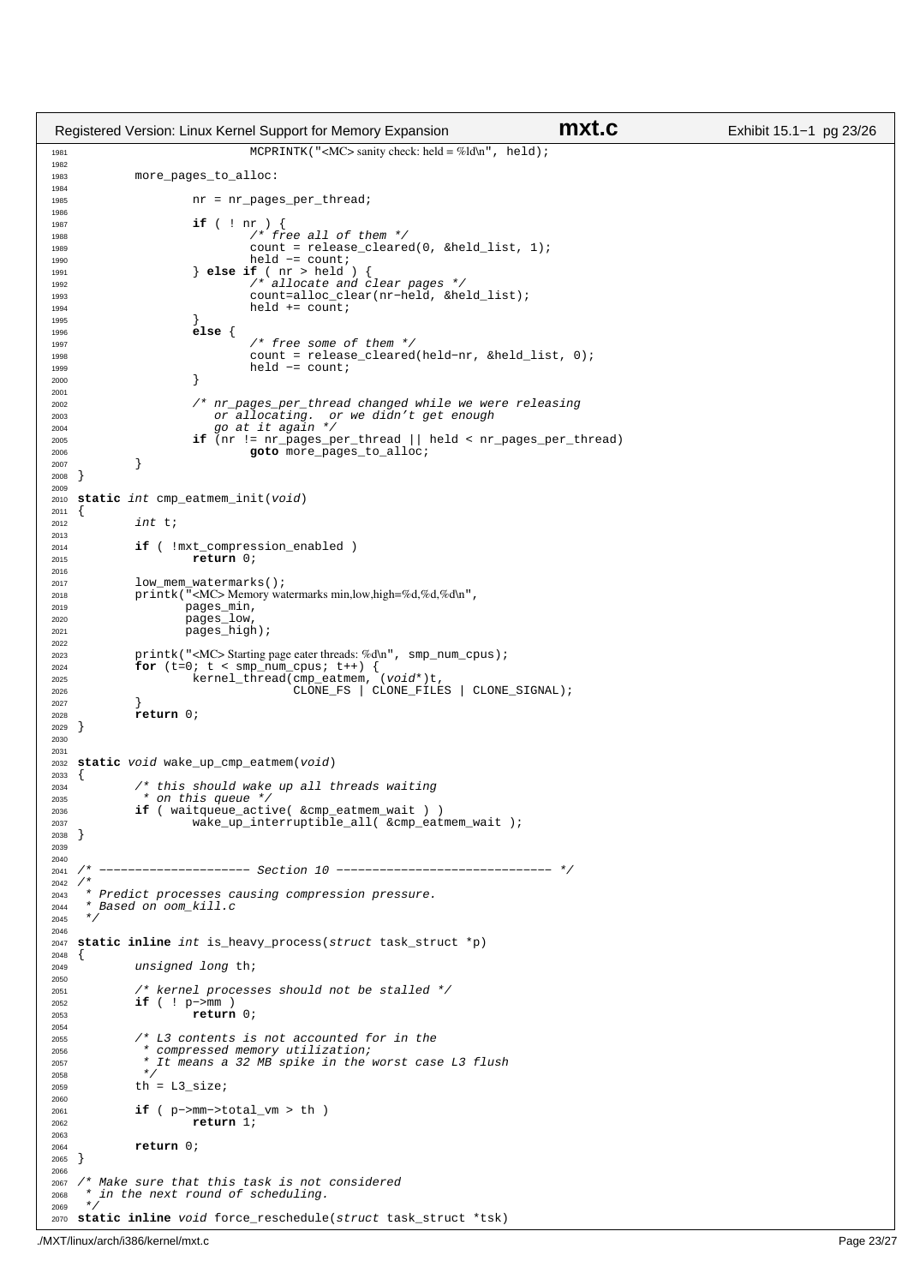```
1981 MCPRINTK ("<MC> sanity check: held = %ld\n", held);
1982
1983 more pages to alloc:
1984
1985 1985 nr = nr_pages_per_thread;
1986
1987 if ( ! nr ) {
1988 /* free all of them */
1989 count = release_cleared(0, &held_list, 1);<br>held -= count;
1990 held −= count;<br>1990 held −= count;<br>1991 held
                       } else if ( nr > held ) /* allocate and
1992 /* allocate and clear pages */
1993 count=alloc_clear(nr−held, &held_list);
1994 held \text{held} += count;
1995 \Big\}1996 else {
1997 \overline{t} /* free some of them */<br>1998 count = release cleared
1998 count = release_cleared(held−nr, &held_list, 0);
1999 held −= count;<br>2000 }
2000 \Big\}2001
2002 /* nr_pages_per_thread changed while we were releasing 
2003 or allocating. or we didn't get enough
2004 go at it again */
2005 if (nr != nr_pages_per_thread || held < nr_pages_per_thread)
2006 goto more_pages_to_alloc;
2007 }
2008 }
2009
2010 static int cmp_eatmem_init(void)
2011 {<br>2012
             int t;
2013<br>2014
2014 if ( !mxt_compression_enabled )
                       return 0;
2016
2017 low_mem_watermarks();
2018 printk("<MC> Memory watermarks min,low,high=%d,%d,%d\n", 
<sup>2019</sup> pages_min,<br>2020 pages_low
                      pages_low
2021 pages_high);
2022
<sup>2023</sup> printk("<MC> Starting page eater threads: %d\n", smp_num_cpus);<br>2024 for (t=0; t \leq s) mp_num_cpus; t++) {
2024 for (t=0; t < smp_num_cpus; t++) {
2025 kernel_thread(cmp_eatmem, (void*)t, 
2026 CLONE_FS | CLONE_FILES | CLONE_SIGNAL);
2027 }
   <sup>r</sup>eturn 0;<br>}
2029 }
2030
2031
2032 static void wake_up_cmp_eatmem(void)
2033 {
2034 \overrightarrow{ } /* this should wake up all threads waiting
               * on this queue */
2036 if ( waitqueue_active( &cmp_eatmem_wait ) )
2037 wake_up_interruptible_all( &cmp_eatmem_wait );
2038 }
2039
2040<br>2041 /*
              2041 /* −−−−−−−−−−−−−−−−−−−−− Section 10 −−−−−−−−−−−−−−−−−−−−−−−−−−−−−− */
\begin{array}{ccc}\n & 2042 & \nearrow \star \\
 & 2043 & \star\n\end{array}<sup>2043</sup> * Predict processes causing compression pressure.<br>2044 * Based on oom kill c
       Based on oom_kill.c
2045
2046
2047 static inline int is_heavy_process(struct task_struct *p)
2048 \quad \left\{ \right. \\ 2049unsigned long th;
2050
2051 /* kernel processes should not be stalled */<br>2052 if ( ! p->mm )
2052 if ( ! p−>mm )<br>2053 return
                       return 0;
20542055 /* L3 contents is not accounted for in the
2056 \overline{c} \overline{c} compressed memory utilization;
2057 * It means a 32 MB spike in the worst case L3 flush
2058<br>2058th = L3_size;
2060
2061 if ( p−>mm−>total_vm > th )
2062 return 1;
2063
2064 return 0;
2065 }
2066
2067 /* Make sure that this task is not considered 2068 * in the next round of scheduling.
     * in the next round of scheduling.
2069 */
2070 static inline void force_reschedule(struct task_struct *tsk)
Registered Version: Linux Kernel Support for Memory Expansion mxt.c Exhibit 15.1−1 pg 23/26
```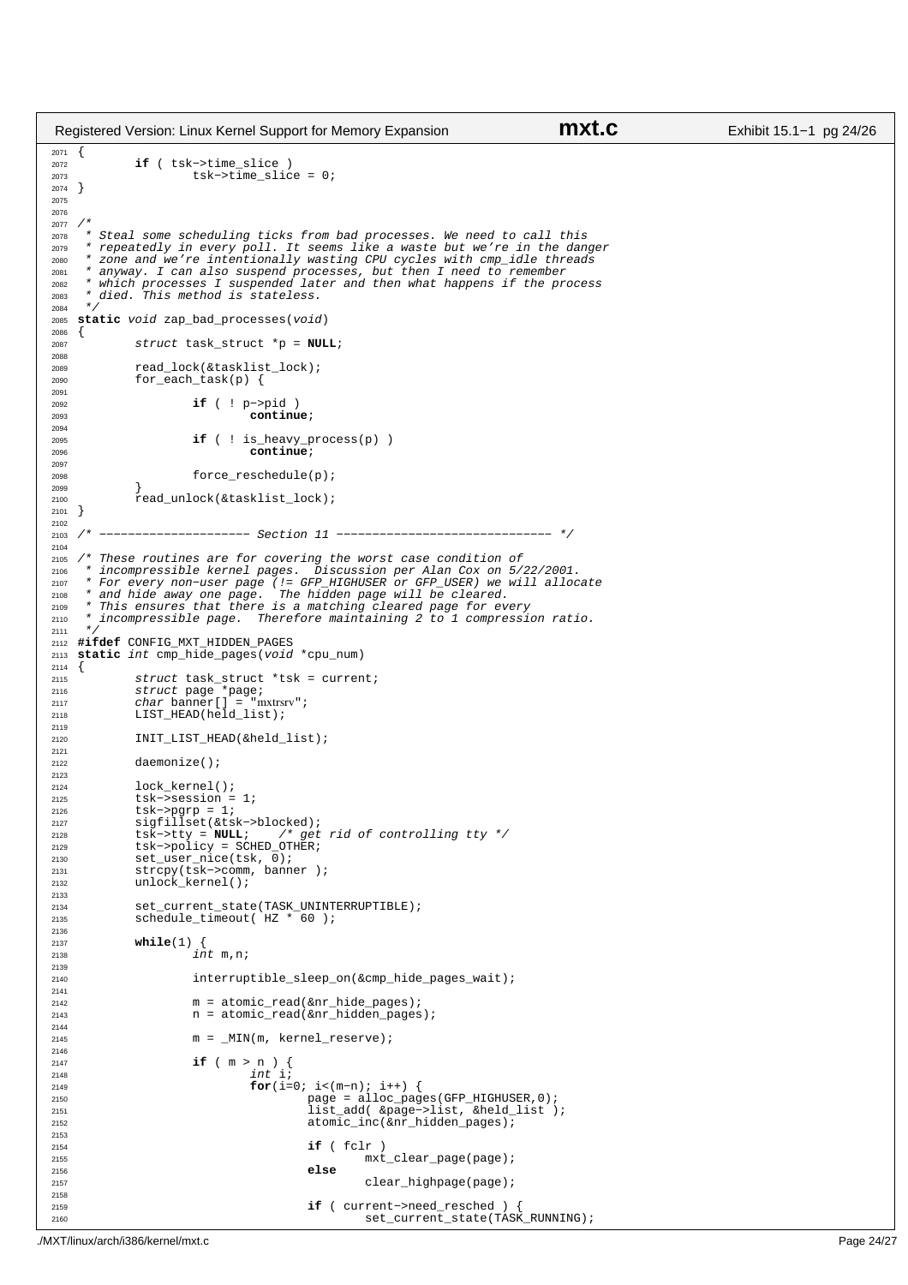```
2071 {<br>2072
2072<br>2073 if ( tsk−>time_slice )<br>2073 tsk−>time slic
                        tsk->time\_slice = 0;2074 }
2075
2076
2077 /*<br>2078 *
2078 * Steal some scheduling ticks from bad processes. We need to call this 
2079 * repeatedly in every poll. It seems like a waste but we're in the danger
2080 * zone and we're intentionally wasting CPU cycles with cmp_idle threads 
2081 * anyway. I can also suspend processes, but then I need to remember 
2082 * which processes I suspended later and then what happens if the process
2083 * died. This method is stateless. 
2084 */<br>2085 eta
   static void zap bad processes(void)
2086 \quad \left\{ \right. \\ 2087struct task_struct *p = NULL;
2088
2089 read_lock(&tasklist_lock);<br>2090 for each task(p) {
              for\_each\_task(p) {
2091
2092 if ( ! p−>pid )
                                  continue;
2094
2095 if ( ! is_heavy_process(p) )
2096 continue;
2097
2098 force_reschedule(p);
2099 }
              read_unlock(&tasklist_lock);
2101 }
2102
2103 /* −−−−−−−−−−−−−−−−−−−−− Section 11 −−−−−−−−−−−−−−−−−−−−−−−−−−−−−− */
2104
2105 /* These routines are for covering the worst case condition of 
2106 * incompressible kernel pages. Discussion per Alan Cox on 5/22/2001. 
% * For every non-user page (!= GFP_HIGHUSER or GFP_USER) we will allocate<br>2008 * and hide away one page. The hidden page will be cleared.<br>2009 * This ensures that there is a matching cleared page for every<br>2110 * incompre
2111<br>2112
    2112 #ifdef CONFIG_MXT_HIDDEN_PAGES
2113 static int cmp_hide_pages(void *cpu_num)
2114 {
2115 struct task_struct *tsk = current;
2116 struct page *page;
2117 char banner[] = "mxtrsrv"; 
2118 LIST_HEAD(held_list);
2119
2120 INIT LIST HEAD(&held list);
2121
2122 daemonize();
2123
2124 lock_kernel();<br>2125 tsk->session =
              tsk->session = 1;
2126 tsk->pgrp = 1;<br>2127 siqfillset(&ts
2127 sigfillset(&tsk->blocked);<br>2128 tsk−>tty = NULL; /* get
2128 tsk−>tty = NULL; /* get rid of controlling tty */
2129 tsk−>policy = SCHED_OTHER;
2130 set_user_nice(tsk, 0);
2131 strcpy(tsk−>comm, banner );
2132 unlock_kernel();
2133<br>2134
              set_current_state(TASK_UNINTERRUPTIBLE);
2135 schedule_timeout( HZ * 60 ); 
2136
2137 while(1) {<br>2138 in
                        int m, n;2139
2140 interruptible_sleep_on(&cmp_hide_pages_wait);
2141
2142 m = atomic_read(&nr_hide_pages);<br>2143 m = atomic read(&nr hidden pages)
                        n = atomic\_read(knr\_hidden\_pages);2144
m = MIN(m, \text{kernel\_reserve});2146
2147 if ( m > n ) {<br>2148 int i;
2148 int \, \mathbf{i}<br>2149 \mathbf{for} \, (\mathbf{i}for(i=0; i<(m-n); i++) {
2150 page = alloc_pages(GFP_HIGHUSER,0);
2151 list_add( &page−>list, &held_list );
2152 atomic_inc(&nr_hidden_pages);
2153
2154 if ( fclr )
                                                     -- ,<br>mxt_clear_page(page);
2156 else
2157 clear_highpage(page);
2158
2159 if ( current−>need_resched ) {
2160 set_current_state(TASK_RUNNING);
Registered Version: Linux Kernel Support for Memory Expansion mxt.c Exhibit 15.1−1 pg 24/26
```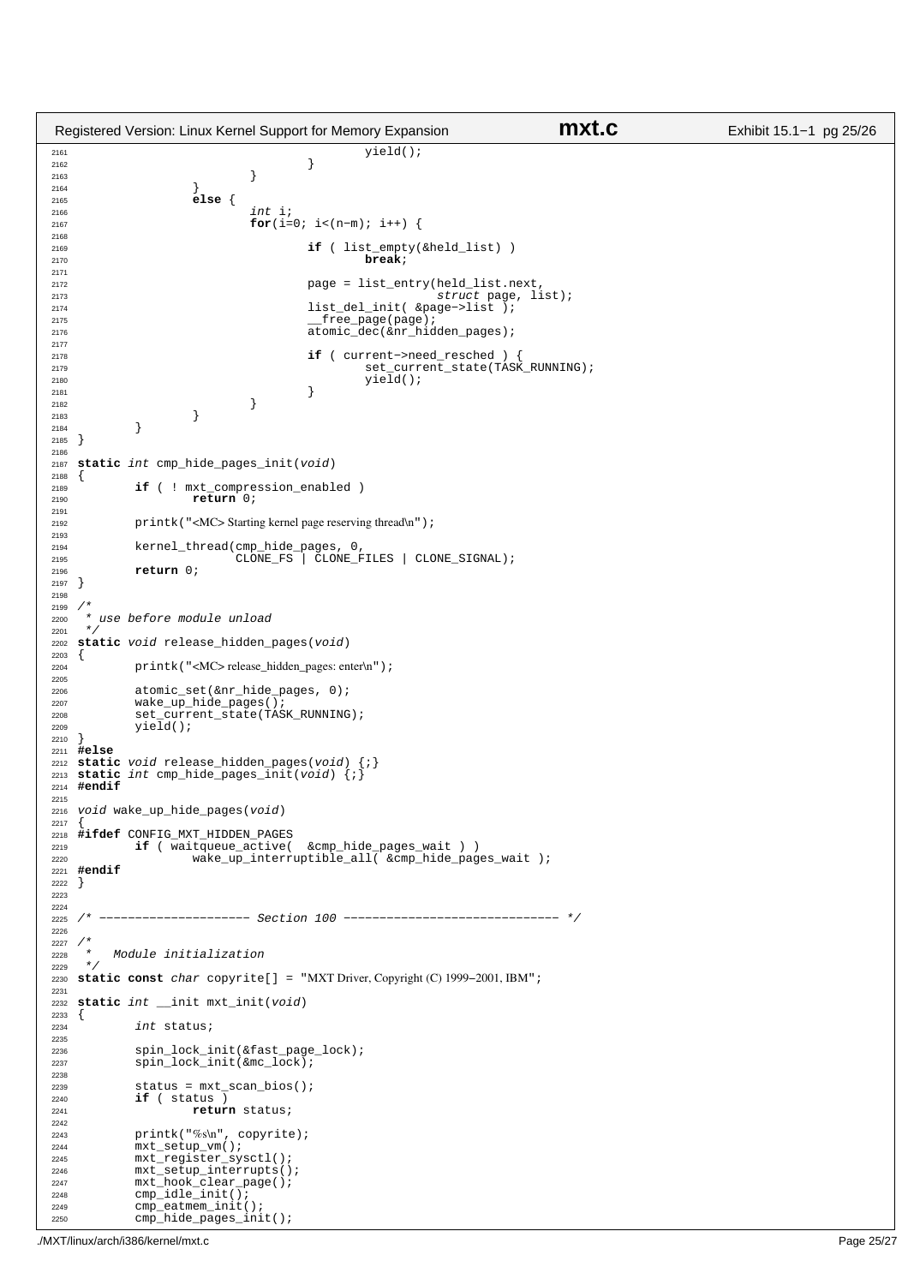```
2161 yield();<br>
2162 yield();
2162 \Big\}2163 \Big\}2164<br>2165
2165 else {
                               int i;
2167 for(i=0; i<(n−m); i++) {
2168
<sup>2169</sup> if ( list_empty(&held_list) )<br>2170 break;
2170 break;
2171
2172<br>
2173<br>
2173<br>
2173<br>
2173<br>
2173<br>
2173<br>
2173<br>
2173<br>
2173<br>
2174<br>
2173
2173 struct page, list);
<sup>2174</sup> list_del_init( &page−>list );<br>2175 free page(page);
                                          {\tt \_free\_page(page)} ;
2176 atomic_dec(&nr_hidden_pages);
2177
2178 if ( current−>need_resched ) {
2179 set_current_state(TASK_RUNNING);<br>2180 set_current_state(TASK_RUNNING);
2180 yield();
2181 \Big\}2182 \Big\}\begin{array}{c} \textbf{2183} \\ \textbf{2184} \end{array} \qquad \qquad \Big\}\begin{array}{c} 2184 \\ 2185 \end{array}2185 }
2186
2187 static int cmp_hide_pages_init(void)
2188 {
2189 if ( ! mxt_compression_enabled )
                      return 0;
2191
2192 printk("<MC> Starting kernel page reserving thread\n");
2193<br>2194
2194 kernel_thread(cmp_hide_pages, 0,<br>2195 CLONE FS CLONE F
2195 CLONE_FS CLONE_FILES | CLONE_SIGNAL);
             2196 return 0;
2197 }
2198
2199<br>2200
     * use before module unload
2201<br>2202
   static void release_hidden_pages(void)<br>{
2203 {
             printk("<MC>release_hidden_pages: enter\n");
2205
2206 atomic_set(&nr_hide_pages, 0);<br>2207 wake up hide pages();
2207 wake_up_hide_pages();<br>2207 wake_up_hide_pages();<br>2208 set current state(TAS
2208 set_current_state(TASK_RUNNING);<br>2200 vield();
             yie\bar{1}d();
2210 }
2211 #else
2212 static void release_hidden_pages(void) {;}
2213 static int cmp_hide_pages_init(void) {;}
2214 #endif
2215
2216 void wake_up_hide_pages(void)
2217 {
2218 #ifdef CONFIG_MXT_HIDDEN_PAGES<br>2219 if (waitqueue active)
2219 if (waitqueue_active( &cmp_hide_pages_wait ) )<br>2220 vake up interruptible all &cmp hide page
                      wake_up_interruptible_all( &cmp_hide_pages_wait );
2221 #endif
2222 }
2223
22242225 /* −−−−−−−−−−−−−−−−−−−−− Section 100 −−−−−−−−−−−−−−−−−−−−−−−−−−−−−− */
2226
2227<br>2228
2228 * Module initialization<br>2228 */
2229 */
2230 static const char copyrite[] = "MXT Driver, Copyright (C) 1999−2001, IBM";
2231
2232 static int __init mxt_init(void)
2233 {<br>2234
             int status;
2235
2236 spin_lock_init(&fast_page_lock);
<sup>2237</sup> spin_lock_init(&mc_lock);
2238
2239 status = mxt_scan_bios();
2240 if ( status ) 
                     2241 return status;
2242<br>2243
2243 printk("%s\n", copyrite);<br>2244 mxt setup ym();
2244 mxt_setup_vm();<br>2245 mxt register sys
2245 mxt_register_sysctl();
2246 mxt_setup_interrupts();
2247 mxt_hook_clear_page();
2248 cmp_idle_init();<br>2249 cmp_eatmem_init(
             cmp_eatmem_init();
2250 cmp_hide_pages_init();
Registered Version: Linux Kernel Support for Memory Expansion mxt.c Exhibit 15.1−1 pg 25/26
```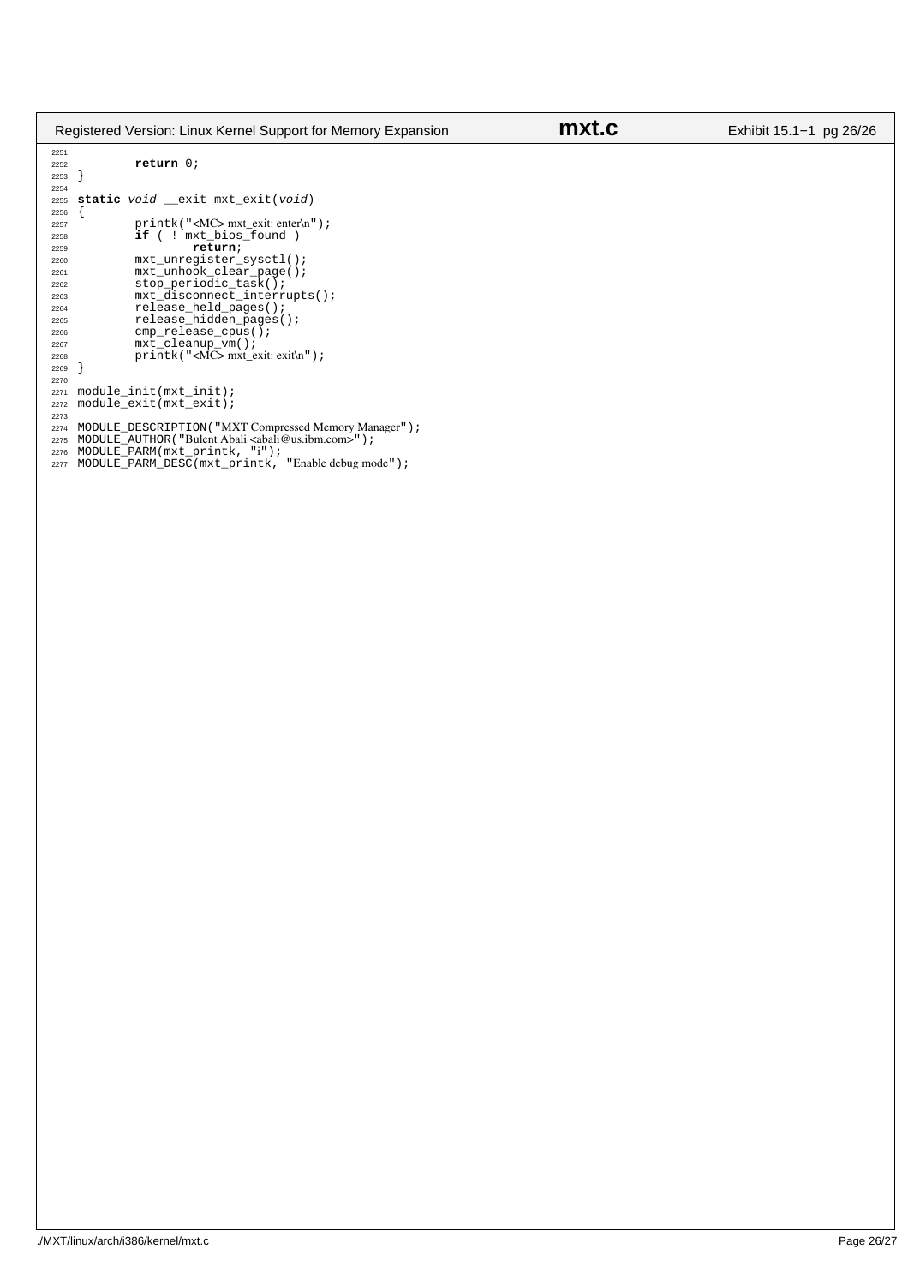| Registered Version: Linux Kernel Support for Memory Expansion                                |                                                                                                                                                                                                                                                                                                      | mxt.c | Exhibit 15.1–1 pg 26/26 |
|----------------------------------------------------------------------------------------------|------------------------------------------------------------------------------------------------------------------------------------------------------------------------------------------------------------------------------------------------------------------------------------------------------|-------|-------------------------|
| 2251<br>2252<br>2253                                                                         | return 0;                                                                                                                                                                                                                                                                                            |       |                         |
| 2254<br>2255<br>2256                                                                         | static void exit mxt_exit(void)                                                                                                                                                                                                                                                                      |       |                         |
| 2257<br>2258                                                                                 | $printk$ (" <mc> mxt_exit: enter\n");<br/><b>if</b> ( ! mxt_bios_found</mc>                                                                                                                                                                                                                          |       |                         |
| 2259<br>2260<br>2261<br>2262<br>2263<br>2264<br>2265<br>2266<br>2267<br>2268<br>2269<br>2270 | return;<br>$mxt\_unregister\_syst1()$ ;<br>$mxt_{unhook}$ clear $page()$ ;<br>stop_periodic_task();<br>mxt_disconnect_interrupts();<br>release_held_pages();<br>release_hidden_pages();<br>$cmp_{rel}$ ease_cpus();<br>$mxt$ _cleanup_vm();<br>$printk$ (" <mc><math>mx</math>t_exit: exit\n");</mc> |       |                         |
| 2271<br>2272<br>2273<br>2274<br>2275<br>2276<br>2277                                         | $module\_init(mxt\_init)$ ;<br>module_exit(mxt_exit);<br>MODULE_DESCRIPTION ( "MXT Compressed Memory Manager" ) ;<br>MODULE_AUTHOR ("Bulent Abali <abali@us.ibm.com>");<br/>MODULE_PARM(mxt_printk, "i");<br/>MODULE_PARM_DESC(mxt_printk, "Enable debug mode");</abali@us.ibm.com>                  |       |                         |